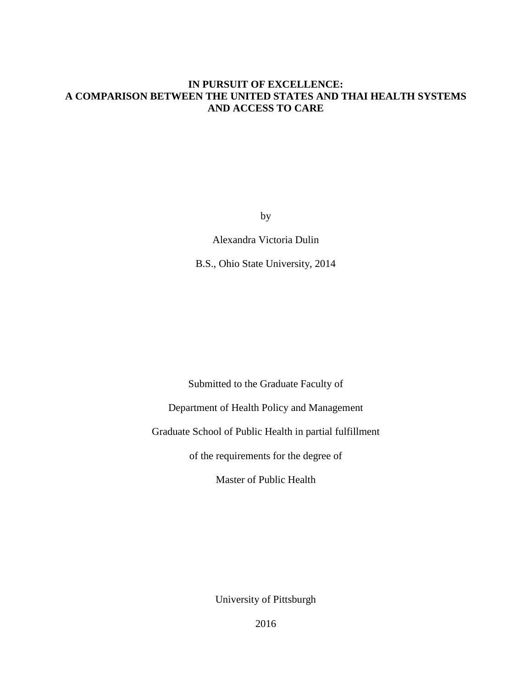# **IN PURSUIT OF EXCELLENCE: A COMPARISON BETWEEN THE UNITED STATES AND THAI HEALTH SYSTEMS AND ACCESS TO CARE**

by

Alexandra Victoria Dulin

B.S., Ohio State University, 2014

Submitted to the Graduate Faculty of

Department of Health Policy and Management

Graduate School of Public Health in partial fulfillment

of the requirements for the degree of

Master of Public Health

University of Pittsburgh

2016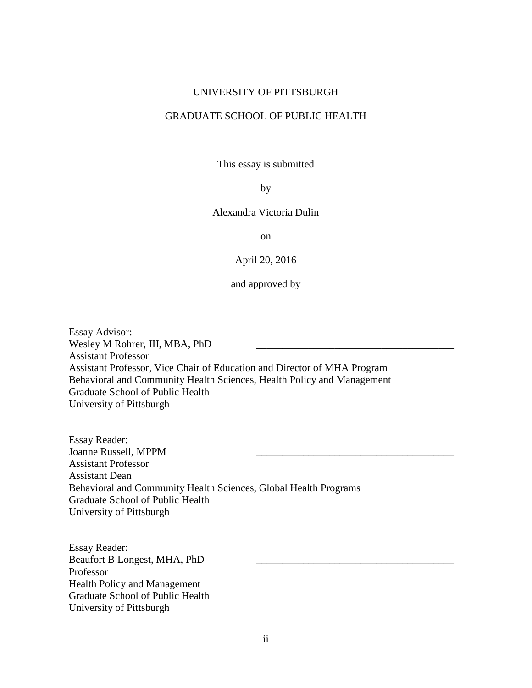#### UNIVERSITY OF PITTSBURGH

# GRADUATE SCHOOL OF PUBLIC HEALTH

This essay is submitted

#### by

# Alexandra Victoria Dulin

on

April 20, 2016

and approved by

Essay Advisor: Wesley M Rohrer, III, MBA, PhD Assistant Professor Assistant Professor, Vice Chair of Education and Director of MHA Program Behavioral and Community Health Sciences, Health Policy and Management Graduate School of Public Health University of Pittsburgh

Essay Reader: Joanne Russell, MPPM \_\_\_\_\_\_\_\_\_\_\_\_\_\_\_\_\_\_\_\_\_\_\_\_\_\_\_\_\_\_\_\_\_\_\_\_\_\_ Assistant Professor Assistant Dean Behavioral and Community Health Sciences, Global Health Programs Graduate School of Public Health University of Pittsburgh

Essay Reader: Beaufort B Longest, MHA, PhD Professor Health Policy and Management Graduate School of Public Health University of Pittsburgh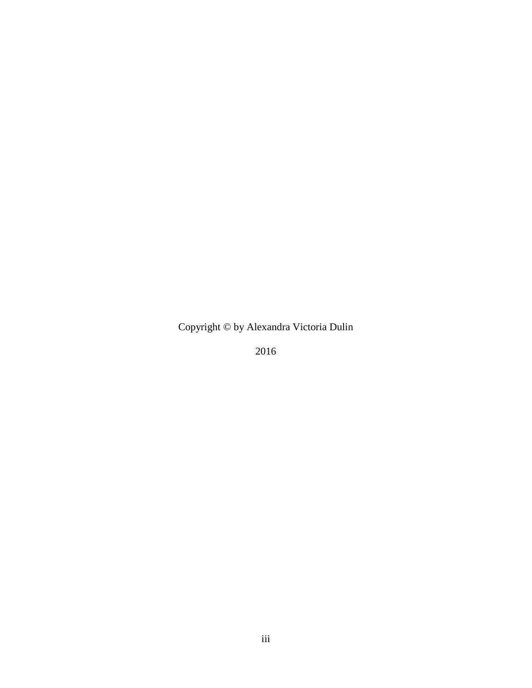Copyright © by Alexandra Victoria Dulin

2016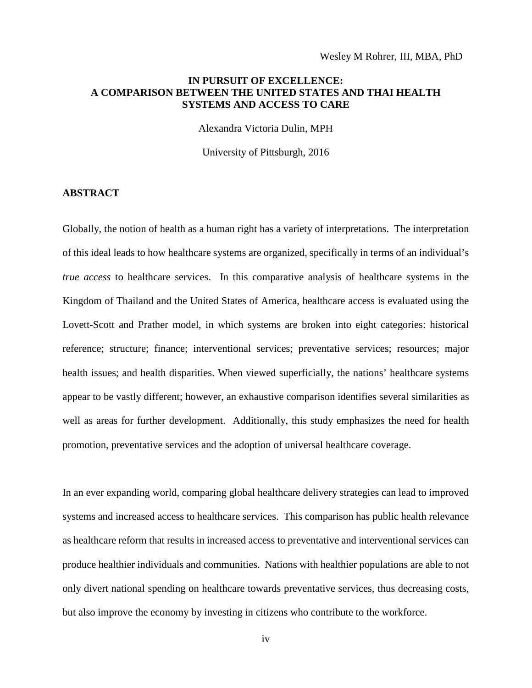# **IN PURSUIT OF EXCELLENCE: A COMPARISON BETWEEN THE UNITED STATES AND THAI HEALTH SYSTEMS AND ACCESS TO CARE**

Alexandra Victoria Dulin, MPH

University of Pittsburgh, 2016

#### **ABSTRACT**

Globally, the notion of health as a human right has a variety of interpretations. The interpretation of this ideal leads to how healthcare systems are organized, specifically in terms of an individual's *true access* to healthcare services. In this comparative analysis of healthcare systems in the Kingdom of Thailand and the United States of America, healthcare access is evaluated using the Lovett-Scott and Prather model, in which systems are broken into eight categories: historical reference; structure; finance; interventional services; preventative services; resources; major health issues; and health disparities. When viewed superficially, the nations' healthcare systems appear to be vastly different; however, an exhaustive comparison identifies several similarities as well as areas for further development. Additionally, this study emphasizes the need for health promotion, preventative services and the adoption of universal healthcare coverage.

In an ever expanding world, comparing global healthcare delivery strategies can lead to improved systems and increased access to healthcare services. This comparison has public health relevance as healthcare reform that results in increased access to preventative and interventional services can produce healthier individuals and communities. Nations with healthier populations are able to not only divert national spending on healthcare towards preventative services, thus decreasing costs, but also improve the economy by investing in citizens who contribute to the workforce.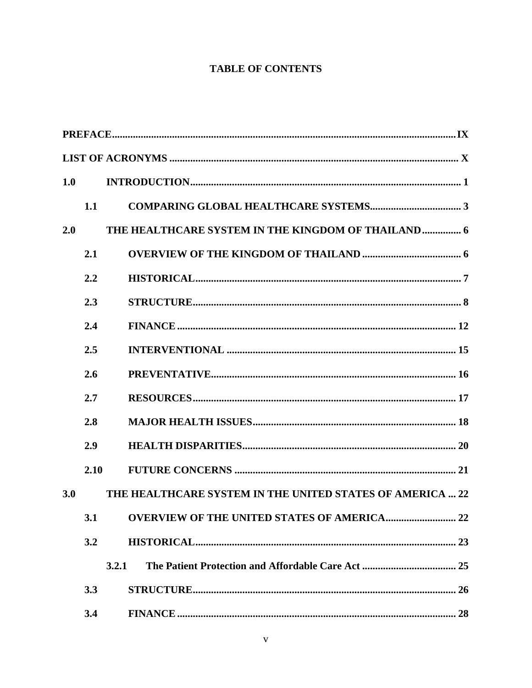# **TABLE OF CONTENTS**

| 1.0 |      |                                                           |
|-----|------|-----------------------------------------------------------|
|     | 1.1  |                                                           |
| 2.0 |      | THE HEALTHCARE SYSTEM IN THE KINGDOM OF THAILAND 6        |
|     | 2.1  |                                                           |
|     | 2.2  |                                                           |
|     | 2.3  |                                                           |
|     | 2.4  |                                                           |
|     | 2.5  |                                                           |
|     | 2.6  |                                                           |
|     | 2.7  |                                                           |
|     | 2.8  |                                                           |
|     | 2.9  |                                                           |
|     | 2.10 |                                                           |
| 3.0 |      | THE HEALTHCARE SYSTEM IN THE UNITED STATES OF AMERICA  22 |
|     |      |                                                           |
|     | 3.2  |                                                           |
|     |      | 3.2.1                                                     |
|     | 3.3  |                                                           |
|     | 3.4  |                                                           |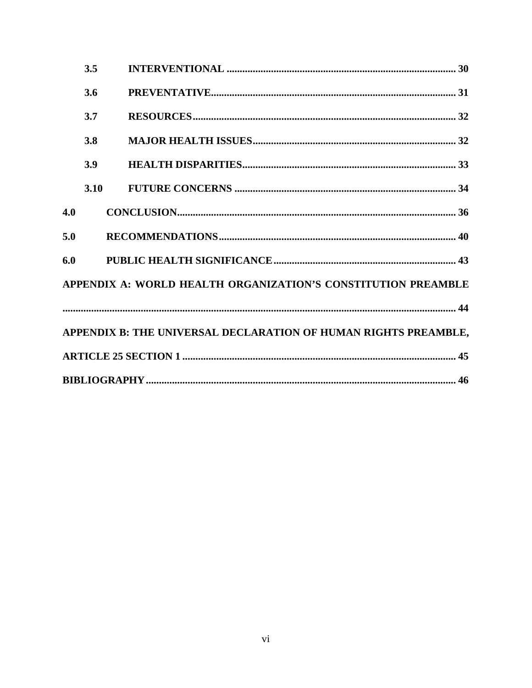|     | 3.5  |                                                                 |
|-----|------|-----------------------------------------------------------------|
|     | 3.6  |                                                                 |
|     | 3.7  |                                                                 |
|     | 3.8  |                                                                 |
|     | 3.9  |                                                                 |
|     | 3.10 |                                                                 |
| 4.0 |      |                                                                 |
| 5.0 |      |                                                                 |
| 6.0 |      |                                                                 |
|     |      | APPENDIX A: WORLD HEALTH ORGANIZATION'S CONSTITUTION PREAMBLE   |
|     |      |                                                                 |
|     |      | APPENDIX B: THE UNIVERSAL DECLARATION OF HUMAN RIGHTS PREAMBLE, |
|     |      |                                                                 |
|     |      |                                                                 |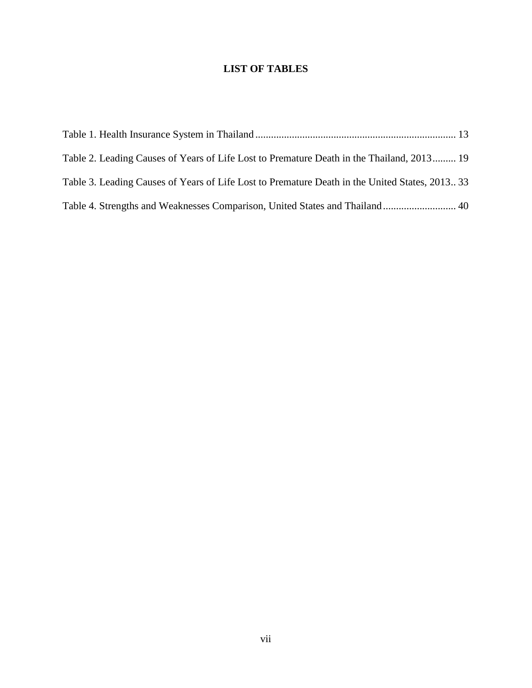# **LIST OF TABLES**

| Table 2. Leading Causes of Years of Life Lost to Premature Death in the Thailand, 2013 19     |  |
|-----------------------------------------------------------------------------------------------|--|
| Table 3. Leading Causes of Years of Life Lost to Premature Death in the United States, 201333 |  |
| Table 4. Strengths and Weaknesses Comparison, United States and Thailand 40                   |  |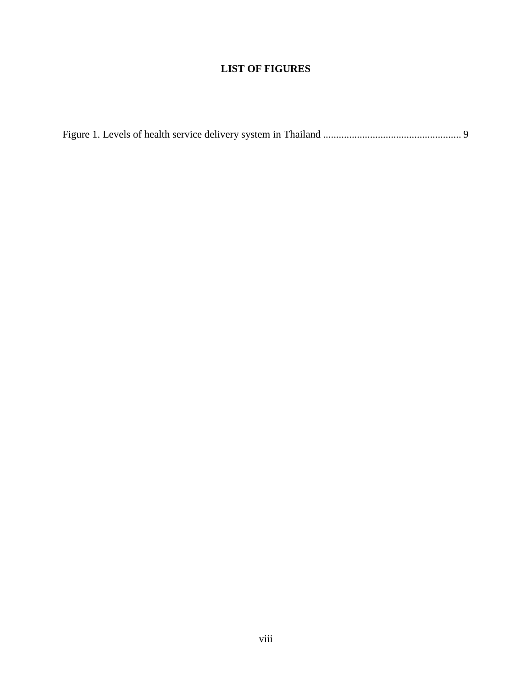# **LIST OF FIGURES**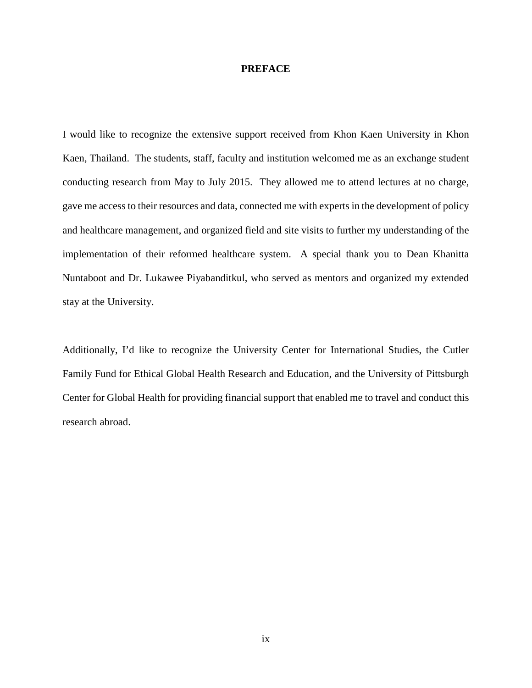#### <span id="page-8-0"></span>**PREFACE**

I would like to recognize the extensive support received from Khon Kaen University in Khon Kaen, Thailand. The students, staff, faculty and institution welcomed me as an exchange student conducting research from May to July 2015. They allowed me to attend lectures at no charge, gave me access to their resources and data, connected me with experts in the development of policy and healthcare management, and organized field and site visits to further my understanding of the implementation of their reformed healthcare system. A special thank you to Dean Khanitta Nuntaboot and Dr. Lukawee Piyabanditkul, who served as mentors and organized my extended stay at the University.

Additionally, I'd like to recognize the University Center for International Studies, the Cutler Family Fund for Ethical Global Health Research and Education, and the University of Pittsburgh Center for Global Health for providing financial support that enabled me to travel and conduct this research abroad.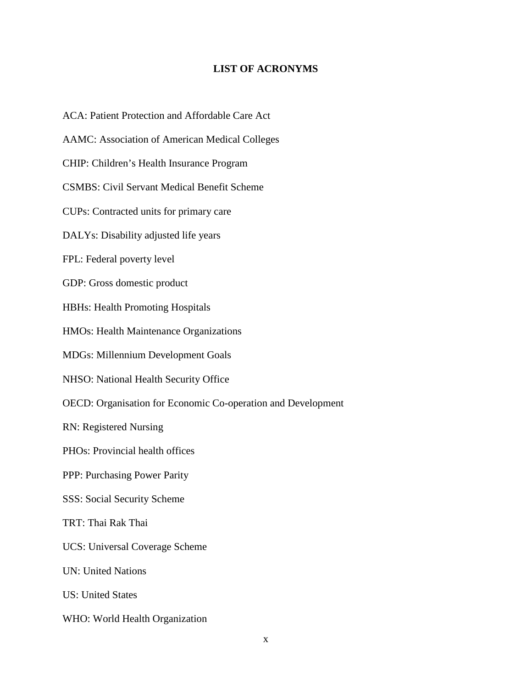# **LIST OF ACRONYMS**

<span id="page-9-0"></span>x ACA: Patient Protection and Affordable Care Act AAMC: Association of American Medical Colleges CHIP: Children's Health Insurance Program CSMBS: Civil Servant Medical Benefit Scheme CUPs: Contracted units for primary care DALYs: Disability adjusted life years FPL: Federal poverty level GDP: Gross domestic product HBHs: Health Promoting Hospitals HMOs: Health Maintenance Organizations MDGs: Millennium Development Goals NHSO: National Health Security Office OECD: Organisation for Economic Co-operation and Development RN: Registered Nursing PHOs: Provincial health offices PPP: Purchasing Power Parity SSS: Social Security Scheme TRT: Thai Rak Thai UCS: Universal Coverage Scheme UN: United Nations US: United States WHO: World Health Organization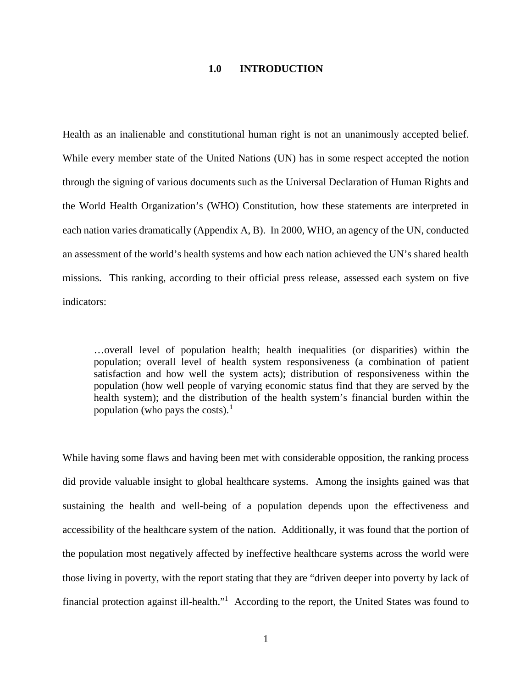#### **1.0 INTRODUCTION**

<span id="page-10-0"></span>Health as an inalienable and constitutional human right is not an unanimously accepted belief. While every member state of the United Nations (UN) has in some respect accepted the notion through the signing of various documents such as the Universal Declaration of Human Rights and the World Health Organization's (WHO) Constitution, how these statements are interpreted in each nation varies dramatically (Appendix A, B). In 2000, WHO, an agency of the UN, conducted an assessment of the world's health systems and how each nation achieved the UN's shared health missions. This ranking, according to their official press release, assessed each system on five indicators:

<span id="page-10-1"></span>…overall level of population health; health inequalities (or disparities) within the population; overall level of health system responsiveness (a combination of patient satisfaction and how well the system acts); distribution of responsiveness within the population (how well people of varying economic status find that they are served by the health system); and the distribution of the health system's financial burden within the population (who pays the costs). $<sup>1</sup>$  $<sup>1</sup>$  $<sup>1</sup>$ </sup>

While having some flaws and having been met with considerable opposition, the ranking process did provide valuable insight to global healthcare systems. Among the insights gained was that sustaining the health and well-being of a population depends upon the effectiveness and accessibility of the healthcare system of the nation. Additionally, it was found that the portion of the population most negatively affected by ineffective healthcare systems across the world were those living in poverty, with the report stating that they are "driven deeper into poverty by lack of financial protection against ill-health."<sup>1</sup> According to the report, the United States was found to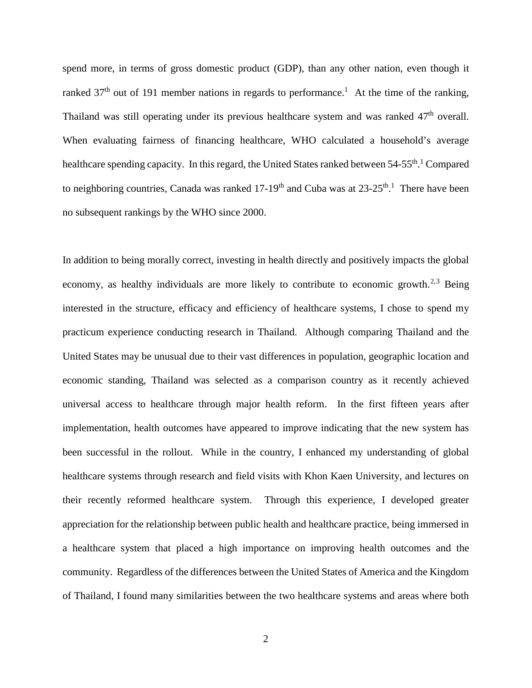spend more, in terms of gross domestic product (GDP), than any other nation, even though it ranked  $37<sup>th</sup>$  out of 191 member nations in regards to performance.<sup>1</sup> At the time of the ranking, Thailand was still operating under its previous healthcare system and was ranked  $47<sup>th</sup>$  overall. When evaluating fairness of financing healthcare, WHO calculated a household's average healthcare spending capacity[.](#page-10-1) In this regard, the United States ranked between 54-55<sup>th</sup>.<sup>1</sup> Compared to neighboring countries, Canada was ranked  $17-19<sup>th</sup>$  $17-19<sup>th</sup>$  and Cuba was at  $23-25<sup>th</sup>$ . There have been no subsequent rankings by the WHO since 2000.

In addition to being morally correct, investing in health directly and positively impacts the global economy, as healthy individuals are more likely to contribute to economic growth.<sup>[2,](#page-18-1)[3](#page-18-2)</sup> Being interested in the structure, efficacy and efficiency of healthcare systems, I chose to spend my practicum experience conducting research in Thailand. Although comparing Thailand and the United States may be unusual due to their vast differences in population, geographic location and economic standing, Thailand was selected as a comparison country as it recently achieved universal access to healthcare through major health reform. In the first fifteen years after implementation, health outcomes have appeared to improve indicating that the new system has been successful in the rollout. While in the country, I enhanced my understanding of global healthcare systems through research and field visits with Khon Kaen University, and lectures on their recently reformed healthcare system. Through this experience, I developed greater appreciation for the relationship between public health and healthcare practice, being immersed in a healthcare system that placed a high importance on improving health outcomes and the community. Regardless of the differences between the United States of America and the Kingdom of Thailand, I found many similarities between the two healthcare systems and areas where both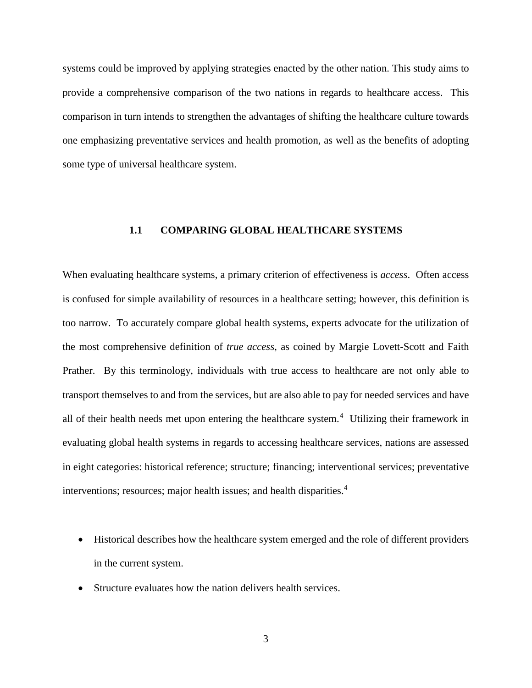systems could be improved by applying strategies enacted by the other nation. This study aims to provide a comprehensive comparison of the two nations in regards to healthcare access. This comparison in turn intends to strengthen the advantages of shifting the healthcare culture towards one emphasizing preventative services and health promotion, as well as the benefits of adopting some type of universal healthcare system.

# <span id="page-12-1"></span><span id="page-12-0"></span>**1.1 COMPARING GLOBAL HEALTHCARE SYSTEMS**

When evaluating healthcare systems, a primary criterion of effectiveness is *access*. Often access is confused for simple availability of resources in a healthcare setting; however, this definition is too narrow. To accurately compare global health systems, experts advocate for the utilization of the most comprehensive definition of *true access*, as coined by Margie Lovett-Scott and Faith Prather. By this terminology, individuals with true access to healthcare are not only able to transport themselves to and from the services, but are also able to pay for needed services and have all of their health needs met upon entering the healthcare system.<sup>[4](#page-18-3)</sup> Utilizing their framework in evaluating global health systems in regards to accessing healthcare services, nations are assessed in eight categories: historical reference; structure; financing; interventional services; preventative interventions; resources; major health issues; and health disparities.<sup>4</sup>

- Historical describes how the healthcare system emerged and the role of different providers in the current system.
- Structure evaluates how the nation delivers health services.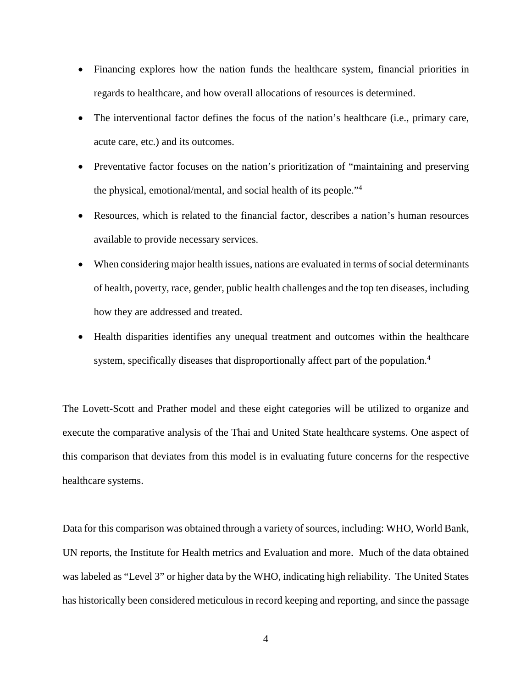- Financing explores how the nation funds the healthcare system, financial priorities in regards to healthcare, and how overall allocations of resources is determined.
- The interventional factor defines the focus of the nation's healthcare (i.e., primary care, acute care, etc.) and its outcomes.
- Preventative factor focuses on the nation's prioritization of "maintaining and preserving the physical, emotional/mental, and social health of its people.["4](#page-12-1)
- Resources, which is related to the financial factor, describes a nation's human resources available to provide necessary services.
- When considering major health issues, nations are evaluated in terms of social determinants of health, poverty, race, gender, public health challenges and the top ten diseases, including how they are addressed and treated.
- Health disparities identifies any unequal treatment and outcomes within the healthcare system, specifically diseases that disproportionally affect part of the population.<sup>4</sup>

The Lovett-Scott and Prather model and these eight categories will be utilized to organize and execute the comparative analysis of the Thai and United State healthcare systems. One aspect of this comparison that deviates from this model is in evaluating future concerns for the respective healthcare systems.

Data for this comparison was obtained through a variety of sources, including: WHO, World Bank, UN reports, the Institute for Health metrics and Evaluation and more. Much of the data obtained was labeled as "Level 3" or higher data by the WHO, indicating high reliability. The United States has historically been considered meticulous in record keeping and reporting, and since the passage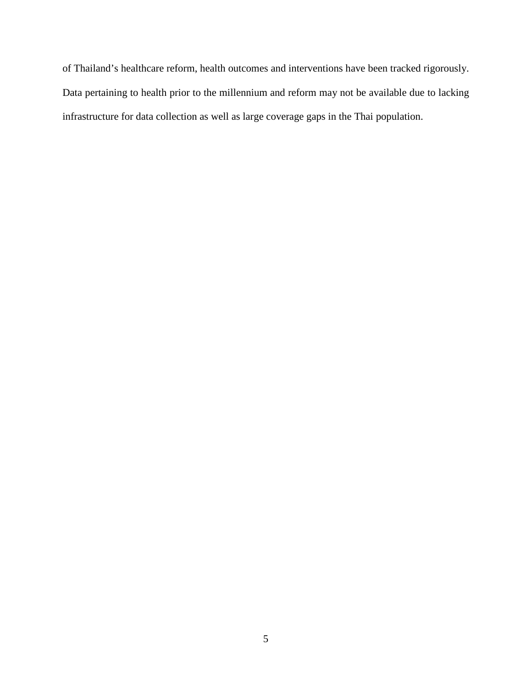of Thailand's healthcare reform, health outcomes and interventions have been tracked rigorously. Data pertaining to health prior to the millennium and reform may not be available due to lacking infrastructure for data collection as well as large coverage gaps in the Thai population.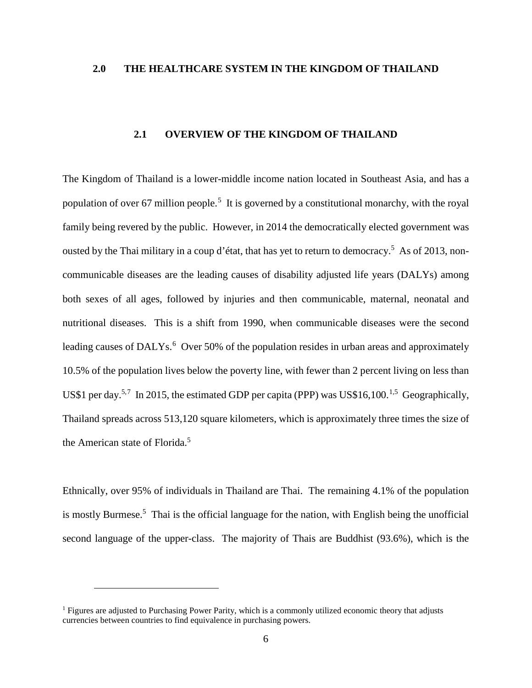# <span id="page-15-0"></span>**2.0 THE HEALTHCARE SYSTEM IN THE KINGDOM OF THAILAND**

# <span id="page-15-2"></span>**2.1 OVERVIEW OF THE KINGDOM OF THAILAND**

<span id="page-15-1"></span>The Kingdom of Thailand is a lower-middle income nation located in Southeast Asia, and has a population of over 67 million people.<sup>[5](#page-19-0)</sup> It is governed by a constitutional monarchy, with the royal family being revered by the public. However, in 2014 the democratically elected government was ousted by the Thai military in a coup d'état, that has yet to return to democracy.<sup>5</sup> As of 2013, noncommunicable diseases are the leading causes of disability adjusted life years (DALYs) among both sexes of all ages, followed by injuries and then communicable, maternal, neonatal and nutritional diseases. This is a shift from 1990, when communicable diseases were the second leading causes of DALYs.<sup>[6](#page-19-1)</sup> Over 50% of the population resides in urban areas and approximately 10.5% of the population lives below the poverty line, with fewer than 2 percent living on less than US\$1 per day.<sup>[5,](#page-15-2)[7](#page-19-2)</sup> In 20[1](#page-15-3)5, the estimated GDP per capita (PPP) was US\$16,100.<sup>1[,5](#page-15-2)</sup> Geographically, Thailand spreads across 513,120 square kilometers, which is approximately three times the size of the American state of Florida.<sup>[5](#page-15-2)</sup>

<span id="page-15-5"></span><span id="page-15-4"></span>Ethnically, over 95% of individuals in Thailand are Thai. The remaining 4.1% of the population ismostly Burmese.<sup>5</sup> Thai is the official language for the nation, with English being the unofficial second language of the upper-class. The majority of Thais are Buddhist (93.6%), which is the

 $\overline{a}$ 

<span id="page-15-3"></span> $<sup>1</sup>$  Figures are adjusted to Purchasing Power Parity, which is a commonly utilized economic theory that adjusts</sup> currencies between countries to find equivalence in purchasing powers.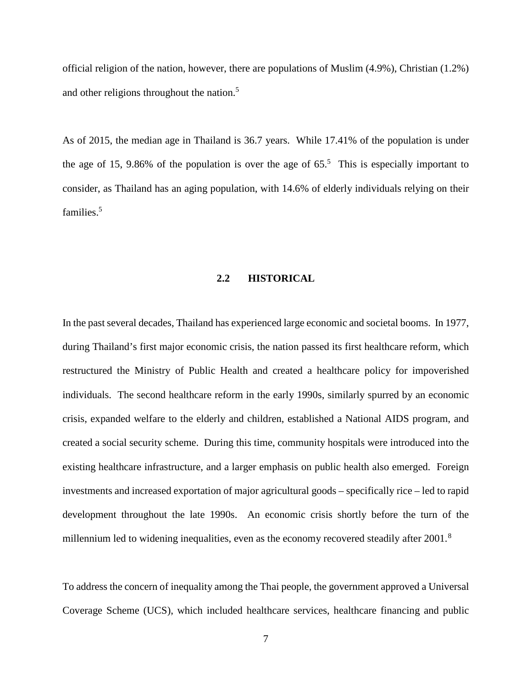official religion of the nation, however, there are populations of Muslim (4.9%), Christian (1.2%) and other religions throughout the nation. 5 

As of 2015, the median age in Thailand is 36.7 years. While 17.41% of the population is under the age of 15, 9.86% of the population is over the age of  $65<sup>5</sup>$ . This is especially important to consider, as Thailand has an aging population, with 14.6% of elderly individuals relying on their families.<sup>5</sup>

#### <span id="page-16-1"></span>**2.2 HISTORICAL**

<span id="page-16-0"></span>In the past several decades, Thailand has experienced large economic and societal booms. In 1977, during Thailand's first major economic crisis, the nation passed its first healthcare reform, which restructured the Ministry of Public Health and created a healthcare policy for impoverished individuals. The second healthcare reform in the early 1990s, similarly spurred by an economic crisis, expanded welfare to the elderly and children, established a National AIDS program, and created a social security scheme. During this time, community hospitals were introduced into the existing healthcare infrastructure, and a larger emphasis on public health also emerged. Foreign investments and increased exportation of major agricultural goods – specifically rice – led to rapid development throughout the late 1990s. An economic crisis shortly before the turn of the millennium led to widening inequalities, even as the economy recovered steadily after 2001.<sup>[8](#page-19-3)</sup>

To address the concern of inequality among the Thai people, the government approved a Universal Coverage Scheme (UCS), which included healthcare services, healthcare financing and public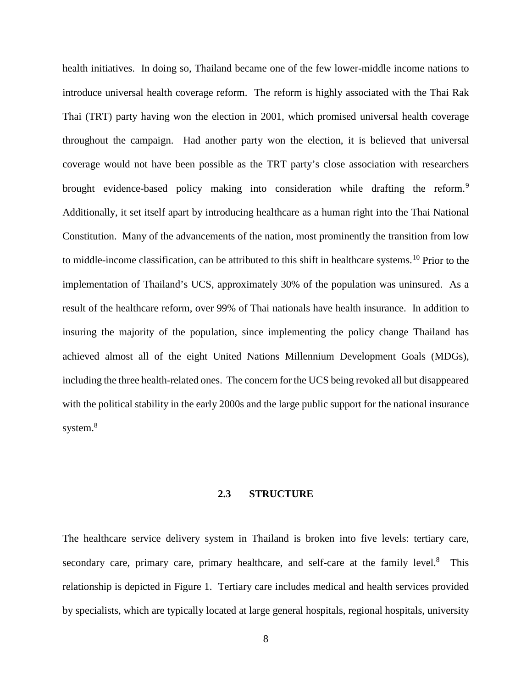<span id="page-17-1"></span>health initiatives. In doing so, Thailand became one of the few lower-middle income nations to introduce universal health coverage reform. The reform is highly associated with the Thai Rak Thai (TRT) party having won the election in 2001, which promised universal health coverage throughout the campaign. Had another party won the election, it is believed that universal coverage would not have been possible as the TRT party's close association with researchers brought evidence-based policy making into consideration while drafting the reform.<sup>[9](#page-20-0)</sup> Additionally, it set itself apart by introducing healthcare as a human right into the Thai National Constitution. Many of the advancements of the nation, most prominently the transition from low to middle-income classification, can be attributed to this shift in healthcare systems.<sup>[10](#page-20-1)</sup> Prior to the implementation of Thailand's UCS, approximately 30% of the population was uninsured. As a result of the healthcare reform, over 99% of Thai nationals have health insurance. In addition to insuring the majority of the population, since implementing the policy change Thailand has achieved almost all of the eight United Nations Millennium Development Goals (MDGs), including the three health-related ones. The concern for the UCS being revoked all but disappeared with the political stability in the early 2000s and the large public support for the national insurance system.<sup>[8](#page-16-1)</sup>

# **2.3 STRUCTURE**

<span id="page-17-0"></span>The healthcare service delivery system in Thailand is broken into five levels: tertiary care, secondary care, primary care, primary healthcare, and self-care at the family level.<sup>8</sup> This relationship is depicted in Figure 1. Tertiary care includes medical and health services provided by specialists, which are typically located at large general hospitals, regional hospitals, university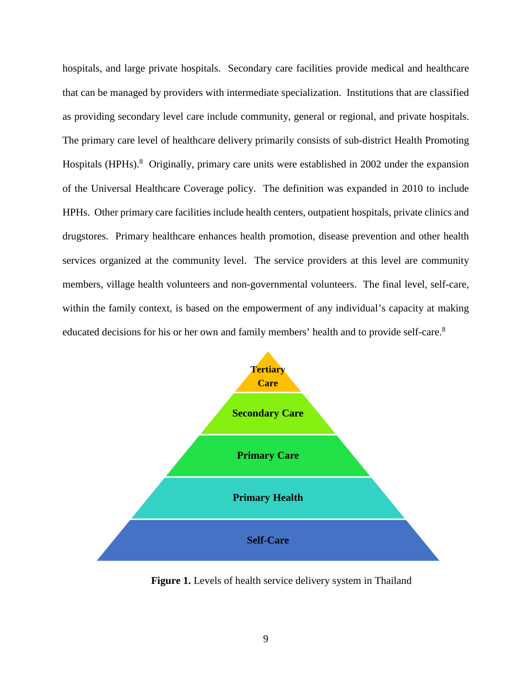<span id="page-18-1"></span>hospitals, and large private hospitals. Secondary care facilities provide medical and healthcare that can be managed by providers with intermediate specialization. Institutions that are classified as providing secondary level care include community, general or regional, and private hospitals. The primary care level of healthcare delivery primarily consists of sub-district Health Promoting Hospitals (HPHs).<sup>[8](#page-16-1)</sup> Originally, primary care units were established in 2002 under the expansion of the Universal Healthcare Coverage policy. The definition was expanded in 2010 to include HPHs. Other primary care facilities include health centers, outpatient hospitals, private clinics and drugstores. Primary healthcare enhances health promotion, disease prevention and other health services organized at the community level. The service providers at this level are community members, village health volunteers and non-governmental volunteers. The final level, self-care, within the family context, is based on the empowerment of any individual's capacity at making educated decisions for his or her own and family members' health and to provide self-care[.8](#page-16-1)

<span id="page-18-3"></span><span id="page-18-2"></span>

<span id="page-18-0"></span>Figure 1. Levels of health service delivery system in Thailand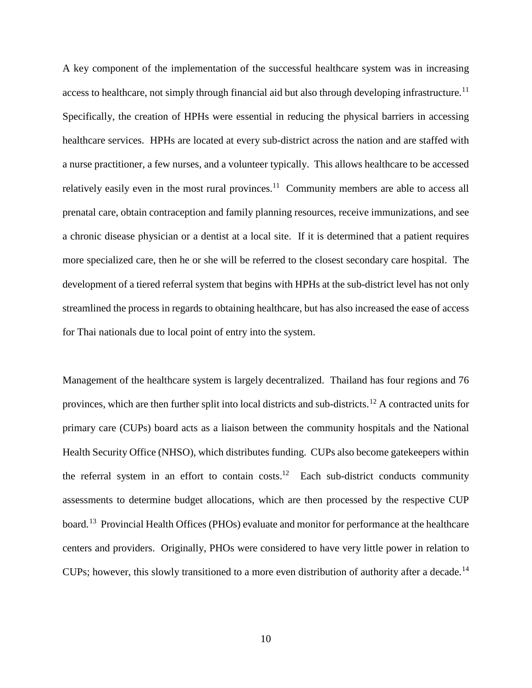<span id="page-19-4"></span>A key component of the implementation of the successful healthcare system was in increasing access to healthcare, not simply through financial aid but also through developing infrastructure.<sup>[11](#page-21-1)</sup> Specifically, the creation of HPHs were essential in reducing the physical barriers in accessing healthcare services. HPHs are located at every sub-district across the nation and are staffed with a nurse practitioner, a few nurses, and a volunteer typically. This allows healthcare to be accessed relatively easily even in the most rural provinces.<sup>11</sup> Community members are able to access all prenatal care, obtain contraception and family planning resources, receive immunizations, and see a chronic disease physician or a dentist at a local site. If it is determined that a patient requires more specialized care, then he or she will be referred to the closest secondary care hospital. The development of a tiered referral system that begins with HPHs at the sub-district level has not only streamlined the process in regards to obtaining healthcare, but has also increased the ease of access for Thai nationals due to local point of entry into the system.

<span id="page-19-7"></span><span id="page-19-6"></span><span id="page-19-5"></span><span id="page-19-3"></span><span id="page-19-2"></span><span id="page-19-1"></span><span id="page-19-0"></span>Management of the healthcare system is largely decentralized. Thailand has four regions and 76 provinces, which are then further split into local districts and sub-districts.[12](#page-21-2) A contracted units for primary care (CUPs) board acts as a liaison between the community hospitals and the National Health Security Office (NHSO), which distributes funding. CUPs also become gatekeepers within the referral system in an effort to contain  $costs$ .<sup>12</sup> Each sub-district conducts community assessments to determine budget allocations, which are then processed by the respective CUP board.<sup>[13](#page-21-3)</sup> Provincial Health Offices (PHOs) evaluate and monitor for performance at the healthcare centers and providers. Originally, PHOs were considered to have very little power in relation to CUPs; however, this slowly transitioned to a more even distribution of authority after a decade.<sup>[14](#page-21-4)</sup>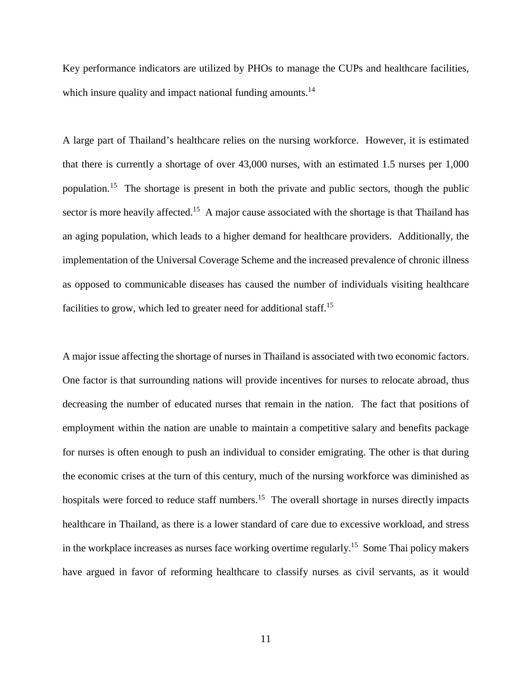Key performance indicators are utilized by PHOs to manage the CUPs and healthcare facilities, which insure quality and impact national funding amounts.<sup>14</sup>

<span id="page-20-2"></span>A large part of Thailand's healthcare relies on the nursing workforce. However, it is estimated that there is currently a shortage of over 43,000 nurses, with an estimated 1.5 nurses per 1,000 population.[15](#page-22-1) The shortage is present in both the private and public sectors, though the public sector is more heavily affected.<sup>15</sup> A major cause associated with the shortage is that Thailand has an aging population, which leads to a higher demand for healthcare providers. Additionally, the implementation of the Universal Coverage Scheme and the increased prevalence of chronic illness as opposed to communicable diseases has caused the number of individuals visiting healthcare facilities to grow, which led to greater need for additional staff.<sup>15</sup>

<span id="page-20-1"></span><span id="page-20-0"></span>A major issue affecting the shortage of nurses in Thailand is associated with two economic factors. One factor is that surrounding nations will provide incentives for nurses to relocate abroad, thus decreasing the number of educated nurses that remain in the nation. The fact that positions of employment within the nation are unable to maintain a competitive salary and benefits package for nurses is often enough to push an individual to consider emigrating. The other is that during the economic crises at the turn of this century, much of the nursing workforce was diminished as hospitals were forced to reduce staff numbers.<sup>15</sup> The overall shortage in nurses directly impacts healthcare in Thailand, as there is a lower standard of care due to excessive workload, and stress in the workplace increases as nurses face working overtime regularly.<sup>15</sup> Some Thai policy makers have argued in favor of reforming healthcare to classify nurses as civil servants, as it would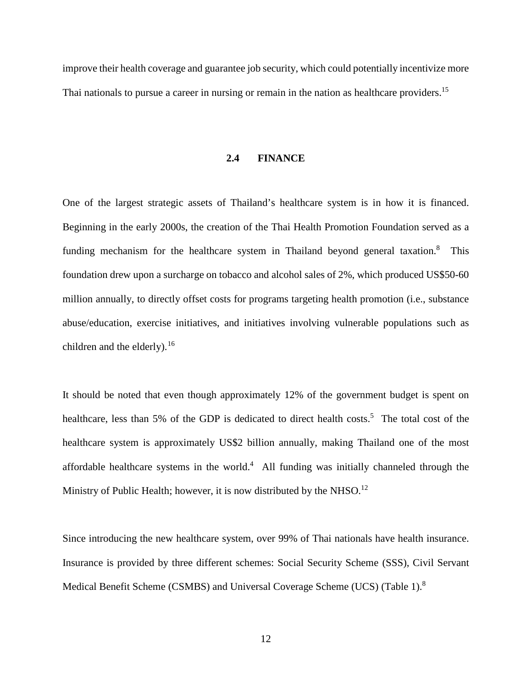<span id="page-21-3"></span><span id="page-21-2"></span><span id="page-21-0"></span>improve their health coverage and guarantee job security, which could potentially incentivize more Thai nationals to pursue a career in nursing or remain in the nation as healthcare providers.<sup>[15](#page-20-2)</sup>

#### **2.4 FINANCE**

<span id="page-21-4"></span>One of the largest strategic assets of Thailand's healthcare system is in how it is financed. Beginning in the early 2000s, the creation of the Thai Health Promotion Foundation served as a funding mechanism for the healthcare system in Thailand beyond general taxation.<sup>[8](#page-16-1)</sup> This foundation drew upon a surcharge on tobacco and alcohol sales of 2%, which produced US\$50-60 million annually, to directly offset costs for programs targeting health promotion (i.e., substance abuse/education, exercise initiatives, and initiatives involving vulnerable populations such as children and the elderly).<sup>[16](#page-22-2)</sup>

It should be noted that even though approximately 12% of the government budget is spent on healthcare, less than 5% of the GDP is dedicated to direct health costs.<sup>5</sup> The total cost of the healthcare system is approximately US\$2 billion annually, making Thailand one of the most affordable healthcare systems in the world. $4$  All funding was initially channeled through the Ministry of Public Health; however, it is now distributed by the NHSO.<sup>[12](#page-19-5)</sup>

<span id="page-21-1"></span>Since introducing the new healthcare system, over 99% of Thai nationals have health insurance. Insurance is provided by three different schemes: Social Security Scheme (SSS), Civil Servant Medical Benefit Scheme (CSMBS) and Universal Coverage Scheme (UCS) (Table 1).<sup>[8](#page-16-1)</sup>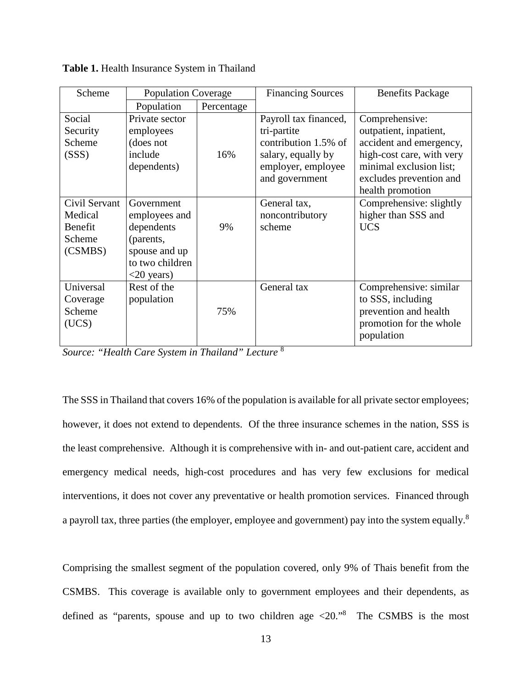<span id="page-22-1"></span>

| Scheme                                                   | <b>Population Coverage</b>                                                                                  |            | <b>Financing Sources</b>                                                                                                   | <b>Benefits Package</b>                                                                                                                                |
|----------------------------------------------------------|-------------------------------------------------------------------------------------------------------------|------------|----------------------------------------------------------------------------------------------------------------------------|--------------------------------------------------------------------------------------------------------------------------------------------------------|
|                                                          | Population                                                                                                  | Percentage |                                                                                                                            |                                                                                                                                                        |
| Social<br>Security<br>Scheme<br>(SSS)                    | Private sector<br>employees<br>(does not<br>include<br>dependents)                                          | 16%        | Payroll tax financed,<br>tri-partite<br>contribution 1.5% of<br>salary, equally by<br>employer, employee<br>and government | Comprehensive:<br>outpatient, inpatient,<br>accident and emergency,<br>high-cost care, with very<br>minimal exclusion list;<br>excludes prevention and |
| Civil Servant<br>Medical<br>Benefit<br>Scheme<br>(CSMBS) | Government<br>employees and<br>dependents<br>(parents,<br>spouse and up<br>to two children<br>$<$ 20 years) | 9%         | General tax,<br>noncontributory<br>scheme                                                                                  | health promotion<br>Comprehensive: slightly<br>higher than SSS and<br><b>UCS</b>                                                                       |
| Universal<br>Coverage<br>Scheme<br>(UCS)                 | Rest of the<br>population                                                                                   | 75%        | General tax                                                                                                                | Comprehensive: similar<br>to SSS, including<br>prevention and health<br>promotion for the whole<br>population                                          |

<span id="page-22-0"></span>**Table 1.** Health Insurance System in Thailand

<span id="page-22-3"></span><span id="page-22-2"></span>*Source: "Health Care System in Thailand" Lecture* [8](#page-16-1)

The SSS in Thailand that covers 16% of the population is available for all private sector employees; however, it does not extend to dependents. Of the three insurance schemes in the nation, SSS is the least comprehensive. Although it is comprehensive with in- and out-patient care, accident and emergency medical needs, high-cost procedures and has very few exclusions for medical interventions, it does not cover any preventative or health promotion services. Financed through a payroll tax, three parties (the employer, employee and government) pay into the system equally.[8](#page-16-1)

Comprising the smallest segment of the population covered, only 9% of Thais benefit from the CSMBS. This coverage is available only to government employees and their dependents, as defined as "parents, spouse and up to two children age <20.["8](#page-16-1) The CSMBS is the most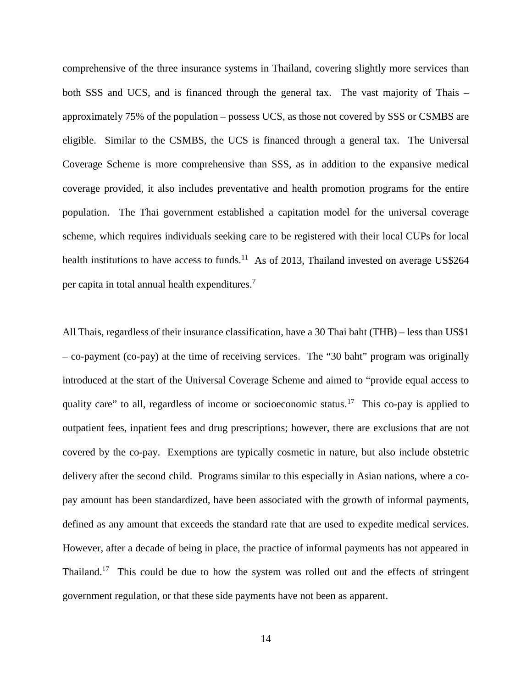comprehensive of the three insurance systems in Thailand, covering slightly more services than both SSS and UCS, and is financed through the general tax. The vast majority of Thais – approximately 75% of the population – possess UCS, as those not covered by SSS or CSMBS are eligible. Similar to the CSMBS, the UCS is financed through a general tax. The Universal Coverage Scheme is more comprehensive than SSS, as in addition to the expansive medical coverage provided, it also includes preventative and health promotion programs for the entire population. The Thai government established a capitation model for the universal coverage scheme, which requires individuals seeking care to be registered with their local CUPs for local health institutions to have access to funds.<sup>11</sup> As of 2013, Thailand invested on average US\$264 per capita in total annual health expenditures.<sup>[7](#page-15-4)</sup>

<span id="page-23-2"></span><span id="page-23-1"></span><span id="page-23-0"></span>All Thais, regardless of their insurance classification, have a 30 Thai baht (THB) – less than US\$1 – co-payment (co-pay) at the time of receiving services. The "30 baht" program was originally introduced at the start of the Universal Coverage Scheme and aimed to "provide equal access to quality care" to all, regardless of income or socioeconomic status.<sup>[17](#page-22-3)</sup> This co-pay is applied to outpatient fees, inpatient fees and drug prescriptions; however, there are exclusions that are not covered by the co-pay. Exemptions are typically cosmetic in nature, but also include obstetric delivery after the second child. Programs similar to this especially in Asian nations, where a copay amount has been standardized, have been associated with the growth of informal payments, defined as any amount that exceeds the standard rate that are used to expedite medical services. However, after a decade of being in place, the practice of informal payments has not appeared in Thailand.<sup>17</sup> This could be due to how the system was rolled out and the effects of stringent government regulation, or that these side payments have not been as apparent.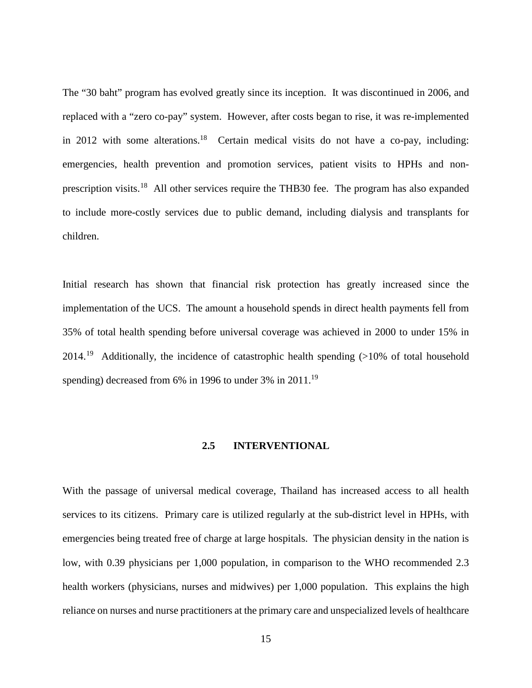<span id="page-24-1"></span>The "30 baht" program has evolved greatly since its inception. It was discontinued in 2006, and replaced with a "zero co-pay" system. However, after costs began to rise, it was re-implemented in 2012 with some alterations.<sup>18</sup> Certain medical visits do not have a co-pay, including: emergencies, health prevention and promotion services, patient visits to HPHs and nonprescription visits.[18](#page-23-1) All other services require the THB30 fee. The program has also expanded to include more-costly services due to public demand, including dialysis and transplants for children.

<span id="page-24-2"></span>Initial research has shown that financial risk protection has greatly increased since the implementation of the UCS. The amount a household spends in direct health payments fell from 35% of total health spending before universal coverage was achieved in 2000 to under 15% in 2014.<sup>19</sup> Additionally, the incidence of catastrophic health spending  $(>10\%$  of total household spending) decreased from 6% in 1996 to under 3% in 2011.<sup>19</sup>

# **2.5 INTERVENTIONAL**

<span id="page-24-6"></span><span id="page-24-5"></span><span id="page-24-4"></span><span id="page-24-3"></span><span id="page-24-0"></span>With the passage of universal medical coverage, Thailand has increased access to all health services to its citizens. Primary care is utilized regularly at the sub-district level in HPHs, with emergencies being treated free of charge at large hospitals. The physician density in the nation is low, with 0.39 physicians per 1,000 population, in comparison to the WHO recommended 2.3 health workers (physicians, nurses and midwives) per 1,000 population. This explains the high reliance on nurses and nurse practitioners at the primary care and unspecialized levels of healthcare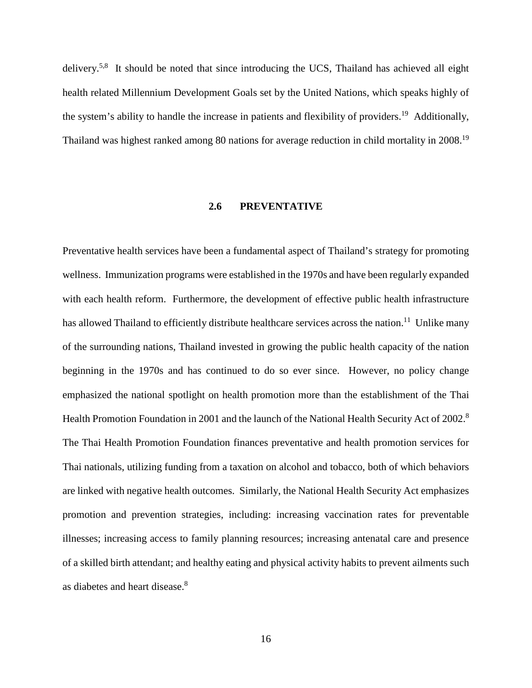<span id="page-25-3"></span>delivery.<sup>5,[8](#page-16-1)</sup> It should be noted that since introducing the UCS, Thailand has achieved all eight health related Millennium Development Goals set by the United Nations, which speaks highly of the system's ability to handle the increase in patients and flexibility of providers.<sup>19</sup> Additionally, Thailand was highest ranked among 80 nations for average reduction in child mortality in 2008.[19](#page-24-2) 

#### **2.6 PREVENTATIVE**

<span id="page-25-2"></span><span id="page-25-1"></span><span id="page-25-0"></span>Preventative health services have been a fundamental aspect of Thailand's strategy for promoting wellness. Immunization programs were established in the 1970s and have been regularly expanded with each health reform. Furthermore, the development of effective public health infrastructure has allowed Thailand to efficiently distribute healthcare services across the nation.<sup>11</sup> Unlike many of the surrounding nations, Thailand invested in growing the public health capacity of the nation beginning in the 1970s and has continued to do so ever since. However, no policy change emphasized the national spotlight on health promotion more than the establishment of the Thai Health Promotion Foundation in 2001 and the launch of the National Health Security Act of 2002.<sup>8</sup> The Thai Health Promotion Foundation finances preventative and health promotion services for Thai nationals, utilizing funding from a taxation on alcohol and tobacco, both of which behaviors are linked with negative health outcomes. Similarly, the National Health Security Act emphasizes promotion and prevention strategies, including: increasing vaccination rates for preventable illnesses; increasing access to family planning resources; increasing antenatal care and presence of a skilled birth attendant; and healthy eating and physical activity habits to prevent ailments such as diabetes and heart disease.<sup>[8](#page-16-1)</sup>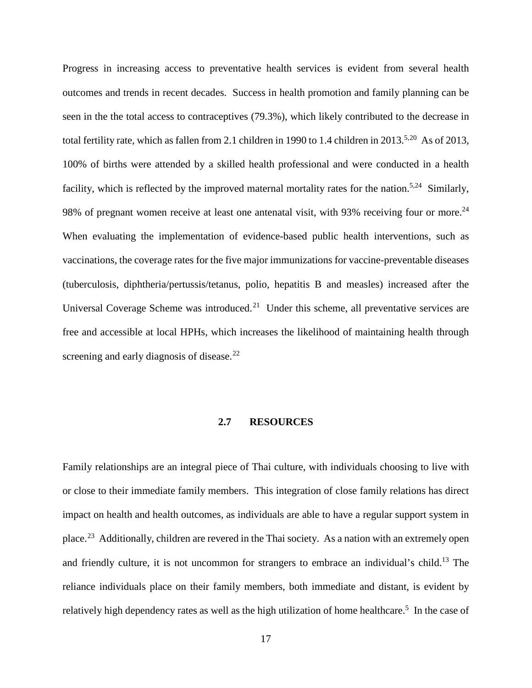<span id="page-26-4"></span><span id="page-26-3"></span>Progress in increasing access to preventative health services is evident from several health outcomes and trends in recent decades. Success in health promotion and family planning can be seen in the the total access to contraceptives (79.3%), which likely contributed to the decrease in total fertility rate, which as fallen from 2.1 children in 1990 to 1.4 children in 2013.<sup>[5,](#page-15-2)20</sup> As of 2013, 100% of births were attended by a skilled health professional and were conducted in a health facility, which is reflected by the improved maternal mortality rates for the nation.<sup>[5,](#page-15-2)24</sup> Similarly, 98% of pregnant women receive at least one antenatal visit, with 93% receiving four or more.<sup>24</sup> When evaluating the implementation of evidence-based public health interventions, such as vaccinations, the coverage rates for the five major immunizations for vaccine-preventable diseases (tuberculosis, diphtheria/pertussis/tetanus, polio, hepatitis B and measles) increased after the Universal Coverage Scheme was introduced.<sup>[21](#page-24-4)</sup> Under this scheme, all preventative services are free and accessible at local HPHs, which increases the likelihood of maintaining health through screening and early diagnosis of disease.<sup>[22](#page-24-5)</sup>

#### <span id="page-26-2"></span><span id="page-26-1"></span>**2.7 RESOURCES**

<span id="page-26-0"></span>Family relationships are an integral piece of Thai culture, with individuals choosing to live with or close to their immediate family members. This integration of close family relations has direct impact on health and health outcomes, as individuals are able to have a regular support system in place.[23](#page-24-6) Additionally, children are revered in the Thai society. As a nation with an extremely open and friendly culture, it is not uncommon for strangers to embrace an individual's child.<sup>13</sup> The reliance individuals place on their family members, both immediate and distant, is evident by relatively high dependency rates as well as the high utilization of home healthcare.<sup>[5](#page-15-2)</sup> In the case of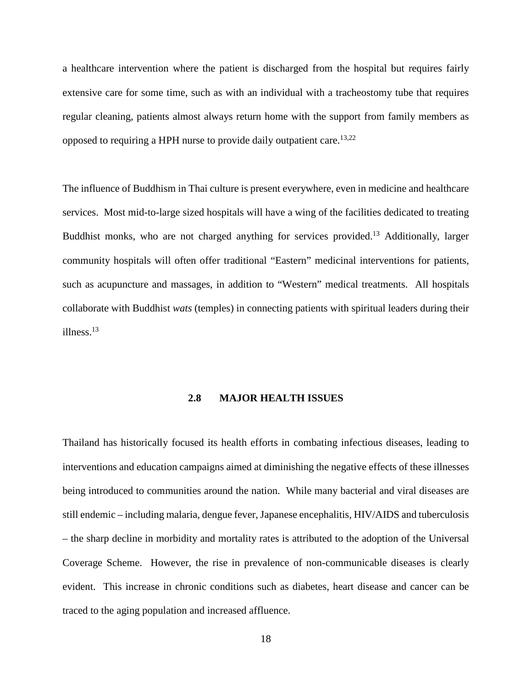a healthcare intervention where the patient is discharged from the hospital but requires fairly extensive care for some time, such as with an individual with a tracheostomy tube that requires regular cleaning, patients almost always return home with the support from family members as opposed to requiring a HPH nurse to provide daily outpatient care.<sup>13,[22](#page-26-1)</sup>

<span id="page-27-3"></span><span id="page-27-2"></span><span id="page-27-1"></span>The influence of Buddhism in Thai culture is present everywhere, even in medicine and healthcare services. Most mid-to-large sized hospitals will have a wing of the facilities dedicated to treating Buddhist monks, who are not charged anything for services provided.<sup>13</sup> Additionally, larger community hospitals will often offer traditional "Eastern" medicinal interventions for patients, such as acupuncture and massages, in addition to "Western" medical treatments. All hospitals collaborate with Buddhist *wats* (temples) in connecting patients with spiritual leaders during their illness. [13](#page-19-7)

# **2.8 MAJOR HEALTH ISSUES**

<span id="page-27-0"></span>Thailand has historically focused its health efforts in combating infectious diseases, leading to interventions and education campaigns aimed at diminishing the negative effects of these illnesses being introduced to communities around the nation. While many bacterial and viral diseases are still endemic – including malaria, dengue fever, Japanese encephalitis, HIV/AIDS and tuberculosis – the sharp decline in morbidity and mortality rates is attributed to the adoption of the Universal Coverage Scheme. However, the rise in prevalence of non-communicable diseases is clearly evident. This increase in chronic conditions such as diabetes, heart disease and cancer can be traced to the aging population and increased affluence.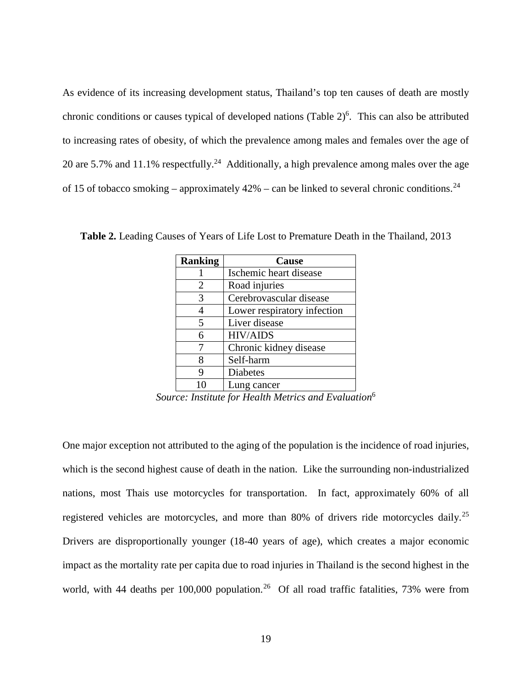As evidence of its increasing development status, Thailand's top ten causes of death are mostly chronic conditions or causes typical of developed nations (Table 2) [6](#page-15-5) . This can also be attributed to increasing rates of obesity, of which the prevalence among males and females over the age of 20 are 5.7% and 11.1% respectfully.<sup>24</sup> Additionally, a high prevalence among males over the age of 15 of tobacco smoking – approximately  $42\%$  – can be linked to several chronic conditions.<sup>24</sup>

<span id="page-28-1"></span>

| <b>Ranking</b> | Cause                       |
|----------------|-----------------------------|
|                | Ischemic heart disease      |
| 2              | Road injuries               |
|                | Cerebrovascular disease     |
|                | Lower respiratory infection |
| 5              | Liver disease               |
| 6              | <b>HIV/AIDS</b>             |
|                | Chronic kidney disease      |
|                | Self-harm                   |
|                | <b>Diabetes</b>             |
|                | Lung cancer                 |

<span id="page-28-0"></span>**Table 2.** Leading Causes of Years of Life Lost to Premature Death in the Thailand, 2013

<span id="page-28-2"></span>*Source: Institute for Health Metrics and Evaluation*[6](#page-15-5)

<span id="page-28-3"></span>One major exception not attributed to the aging of the population is the incidence of road injuries, which is the second highest cause of death in the nation. Like the surrounding non-industrialized nations, most Thais use motorcycles for transportation. In fact, approximately 60% of all registered vehicles are motorcycles, and more than 80% of drivers ride motorcycles daily.[25](#page-25-2) Drivers are disproportionally younger (18-40 years of age), which creates a major economic impact as the mortality rate per capita due to road injuries in Thailand is the second highest in the world, with 44 deaths per 100,000 population.<sup>[26](#page-25-3)</sup> Of all road traffic fatalities, 73% were from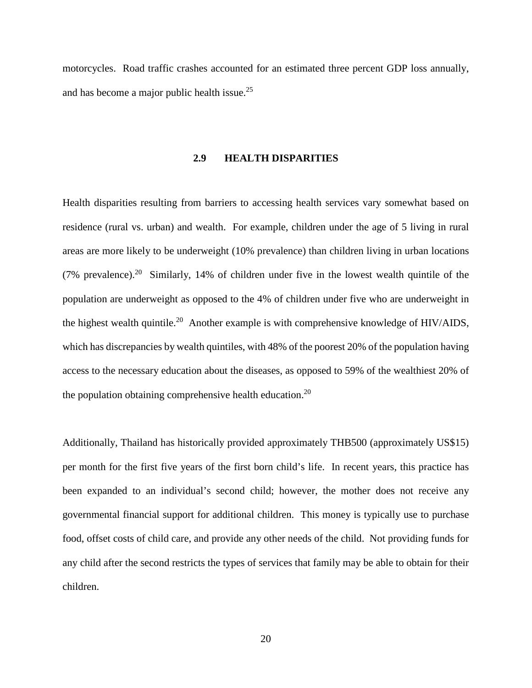<span id="page-29-0"></span>motorcycles. Road traffic crashes accounted for an estimated three percent GDP loss annually, and has become a major public health issue.[25](#page-28-2) 

#### **2.9 HEALTH DISPARITIES**

Health disparities resulting from barriers to accessing health services vary somewhat based on residence (rural vs. urban) and wealth. For example, children under the age of 5 living in rural areas are more likely to be underweight (10% prevalence) than children living in urban locations (7% prevalence).<sup>20</sup> Similarly, 14% of children under five in the lowest wealth quintile of the population are underweight as opposed to the 4% of children under five who are underweight in the highest wealth quintile.<sup>20</sup> Another example is with comprehensive knowledge of HIV/AIDS, which has discrepancies by wealth quintiles, with 48% of the poorest 20% of the population having access to the necessary education about the diseases, as opposed to 59% of the wealthiest 20% of the population obtaining comprehensive health education.<sup>20</sup>

<span id="page-29-1"></span>Additionally, Thailand has historically provided approximately THB500 (approximately US\$15) per month for the first five years of the first born child's life. In recent years, this practice has been expanded to an individual's second child; however, the mother does not receive any governmental financial support for additional children. This money is typically use to purchase food, offset costs of child care, and provide any other needs of the child. Not providing funds for any child after the second restricts the types of services that family may be able to obtain for their children.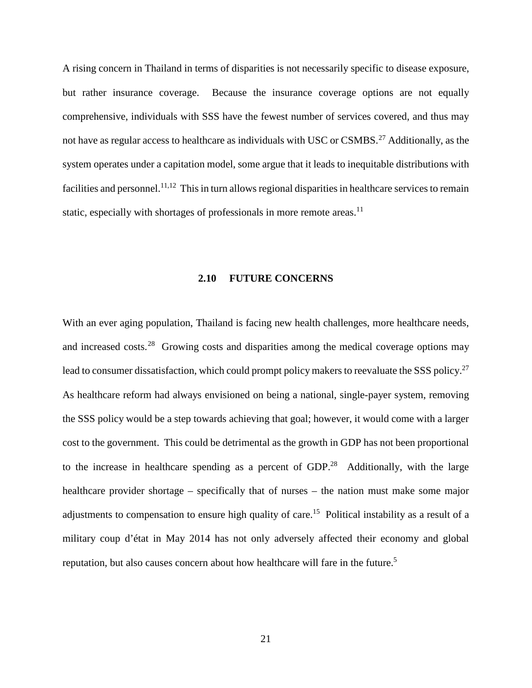A rising concern in Thailand in terms of disparities is not necessarily specific to disease exposure, but rather insurance coverage. Because the insurance coverage options are not equally comprehensive, individuals with SSS have the fewest number of services covered, and thus may not have as regular access to healthcare as individuals with USC or  $\text{CSMBS}$ <sup>[27](#page-26-3)</sup> Additionally, as the system operates under a capitation model, some argue that it leads to inequitable distributions with facilities and personnel.<sup>[11,](#page-19-4)12</sup> This in turn allows regional disparities in healthcare services to remain static, especially with shortages of professionals in more remote areas.<sup>11</sup>

#### <span id="page-30-2"></span><span id="page-30-1"></span>**2.10 FUTURE CONCERNS**

<span id="page-30-6"></span><span id="page-30-5"></span><span id="page-30-4"></span><span id="page-30-3"></span><span id="page-30-0"></span>With an ever aging population, Thailand is facing new health challenges, more healthcare needs, and increased costs.[28](#page-26-4) Growing costs and disparities among the medical coverage options may lead to consumer dissatisfaction, which could prompt policy makers to reevaluate the SSS policy.<sup>27</sup> As healthcare reform had always envisioned on being a national, single-payer system, removing the SSS policy would be a step towards achieving that goal; however, it would come with a larger cost to the government. This could be detrimental as the growth in GDP has not been proportional to the increase in healthcare spending as a percent of  $GDP<sup>28</sup>$  Additionally, with the large healthcare provider shortage – specifically that of nurses – the nation must make some major adjustments to compensation to ensure high quality of care.<sup>15</sup> Political instability as a result of a military coup d'état in May 2014 has not only adversely affected their economy and global reputation, but also causes concern about how healthcare will fare in the future.<sup>[5](#page-15-2)</sup>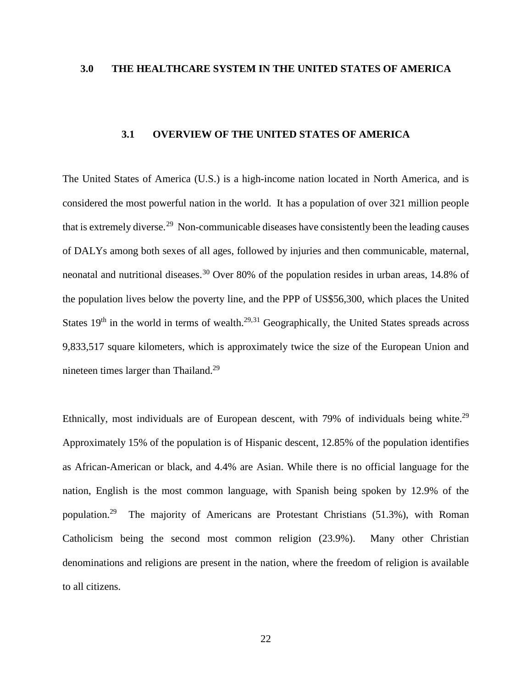#### <span id="page-31-0"></span>**3.0 THE HEALTHCARE SYSTEM IN THE UNITED STATES OF AMERICA**

# <span id="page-31-7"></span><span id="page-31-2"></span>**3.1 OVERVIEW OF THE UNITED STATES OF AMERICA**

<span id="page-31-6"></span><span id="page-31-5"></span><span id="page-31-1"></span>The United States of America (U.S.) is a high-income nation located in North America, and is considered the most powerful nation in the world. It has a population of over 321 million people that is extremely diverse.<sup>[29](#page-27-1)</sup> Non-communicable diseases have consistently been the leading causes of DALYs among both sexes of all ages, followed by injuries and then communicable, maternal, neonatal and nutritional diseases.<sup>[30](#page-27-2)</sup> Over 80% of the population resides in urban areas, 14.8% of the population lives below the poverty line, and the PPP of US\$56,300, which places the United States  $19<sup>th</sup>$  in the world in terms of wealth.<sup>[29,](#page-31-2)[31](#page-27-3)</sup> Geographically, the United States spreads across 9,833,517 square kilometers, which is approximately twice the size of the European Union and nineteen times larger than Thailand.[29](#page-31-2)

<span id="page-31-4"></span><span id="page-31-3"></span>Ethnically, most individuals are of European descent, with  $79\%$  of individuals being white.<sup>29</sup> Approximately 15% of the population is of Hispanic descent, 12.85% of the population identifies as African-American or black, and 4.4% are Asian. While there is no official language for the nation, English is the most common language, with Spanish being spoken by 12.9% of the population.<sup>29</sup> The majority of Americans are Protestant Christians (51.3%), with Roman Catholicism being the second most common religion (23.9%). Many other Christian denominations and religions are present in the nation, where the freedom of religion is available to all citizens.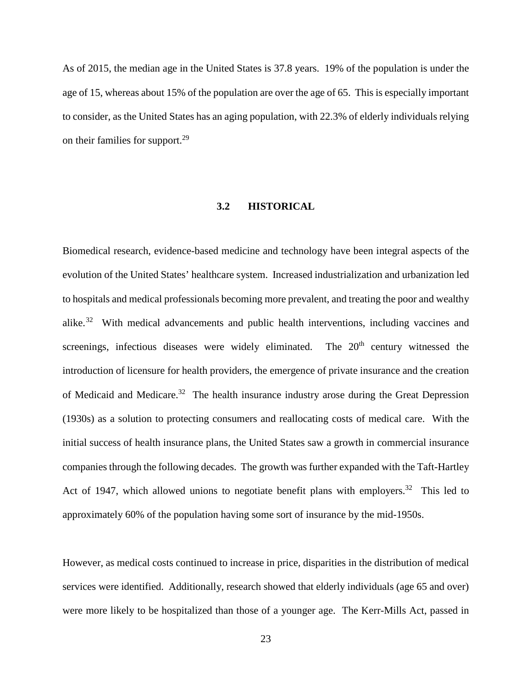As of 2015, the median age in the United States is 37.8 years. 19% of the population is under the age of 15, whereas about 15% of the population are over the age of 65. This is especially important to consider, as the United States has an aging population, with 22.3% of elderly individuals relying on their families for support.<sup>29</sup>

# **3.2 HISTORICAL**

<span id="page-32-4"></span><span id="page-32-3"></span><span id="page-32-2"></span><span id="page-32-1"></span><span id="page-32-0"></span>Biomedical research, evidence-based medicine and technology have been integral aspects of the evolution of the United States' healthcare system. Increased industrialization and urbanization led to hospitals and medical professionals becoming more prevalent, and treating the poor and wealthy alike.[32](#page-28-3) With medical advancements and public health interventions, including vaccines and screenings, infectious diseases were widely eliminated. The  $20<sup>th</sup>$  century witnessed the introduction of licensure for health providers, the emergence of private insurance and the creation of Medicaid and Medicare.<sup>32</sup> The health insurance industry arose during the Great Depression (1930s) as a solution to protecting consumers and reallocating costs of medical care. With the initial success of health insurance plans, the United States saw a growth in commercial insurance companies through the following decades. The growth was further expanded with the Taft-Hartley Act of 1947, which allowed unions to negotiate benefit plans with employers.<sup>32</sup> This led to approximately 60% of the population having some sort of insurance by the mid-1950s.

However, as medical costs continued to increase in price, disparities in the distribution of medical services were identified. Additionally, research showed that elderly individuals (age 65 and over) were more likely to be hospitalized than those of a younger age. The Kerr-Mills Act, passed in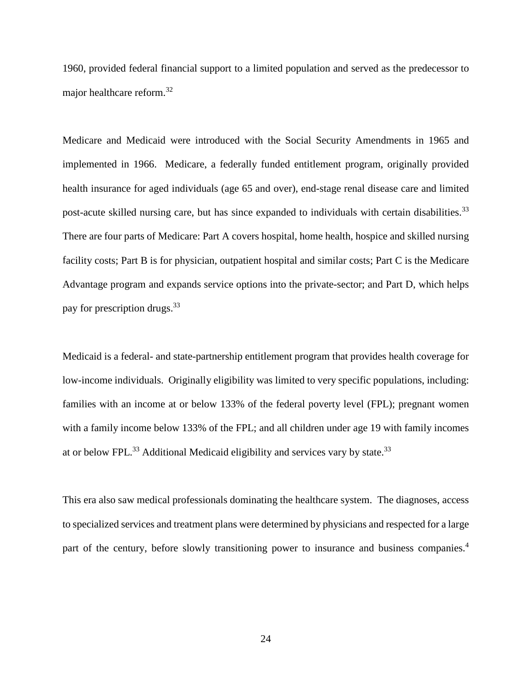1960, provided federal financial support to a limited population and served as the predecessor to major healthcare reform.[32](#page-32-1)

<span id="page-33-0"></span>Medicare and Medicaid were introduced with the Social Security Amendments in 1965 and implemented in 1966. Medicare, a federally funded entitlement program, originally provided health insurance for aged individuals (age 65 and over), end-stage renal disease care and limited post-acute skilled nursing care, but has since expanded to individuals with certain disabilities.<sup>[33](#page-29-1)</sup> There are four parts of Medicare: Part A covers hospital, home health, hospice and skilled nursing facility costs; Part B is for physician, outpatient hospital and similar costs; Part C is the Medicare Advantage program and expands service options into the private-sector; and Part D, which helps pay for prescription drugs.[33](#page-33-0)

<span id="page-33-2"></span><span id="page-33-1"></span>Medicaid is a federal- and state-partnership entitlement program that provides health coverage for low-income individuals. Originally eligibility was limited to very specific populations, including: families with an income at or below 133% of the federal poverty level (FPL); pregnant women with a family income below 133% of the FPL; and all children under age 19 with family incomes at or below FPL. $^{33}$  $^{33}$  $^{33}$  Additional Medicaid eligibility and services vary by state. $^{33}$ 

This era also saw medical professionals dominating the healthcare system. The diagnoses, access to specialized services and treatment plans were determined by physicians and respected for a large part of the century, before slowly transitioning power to insurance and business companies.<sup>[4](#page-12-1)</sup>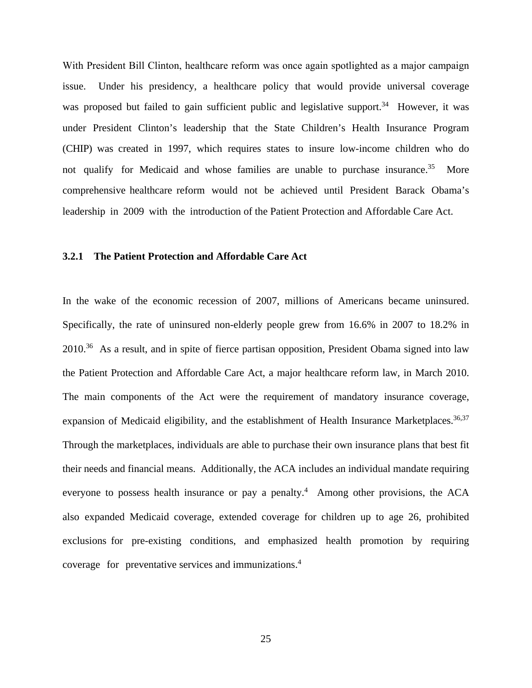With President Bill Clinton, healthcare reform was once again spotlighted as a major campaign issue. Under his presidency, a healthcare policy that would provide universal coverage was proposed but failed to gain sufficient public and legislative support.<sup>[34](#page-30-3)</sup> However, it was under President Clinton's leadership that the State Children's Health Insurance Program (CHIP) was created in 1997, which requires states to insure low-income children who do not qualify for Medicaid and whose families are unable to purchase insurance.<sup>[35](#page-30-4)</sup> More comprehensive healthcare reform would not be achieved until President Barack Obama's leadership in 2009 with the introduction of the Patient Protection and Affordable Care Act.

#### <span id="page-34-0"></span>**3.2.1 The Patient Protection and Affordable Care Act**

<span id="page-34-6"></span><span id="page-34-5"></span><span id="page-34-4"></span><span id="page-34-3"></span><span id="page-34-2"></span><span id="page-34-1"></span>In the wake of the economic recession of 2007, millions of Americans became uninsured. Specifically, the rate of uninsured non-elderly people grew from 16.6% in 2007 to 18.2% in 2010.<sup>[36](#page-30-5)</sup> As a result, and in spite of fierce partisan opposition, President Obama signed into law the Patient Protection and Affordable Care Act, a major healthcare reform law, in March 2010. The main components of the Act were the requirement of mandatory insurance coverage, expansion of Medicaid eligibility, and the establishment of Health Insurance Marketplaces.<sup>[36,](#page-34-1)[37](#page-30-6)</sup> Through the marketplaces, individuals are able to purchase their own insurance plans that best fit their needs and financial means. Additionally, the ACA includes an individual mandate requiring everyone to possess health insurance or pay a pena[lty](#page-12-1).<sup>4</sup> Among other provisions, the ACA also expanded Medicaid coverage, extended coverage for children up to age 26, prohibited exclusions for pre-existing conditions, and emphasized health promotion by requiring coverage for preventative services and [im](#page-12-1)munizations.<sup>4</sup>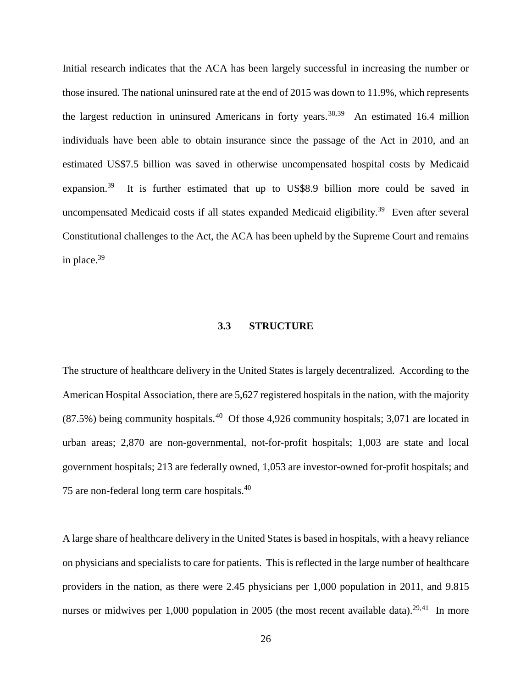<span id="page-35-7"></span><span id="page-35-6"></span><span id="page-35-5"></span>Initial research indicates that the ACA has been largely successful in increasing the number or those insured. The national uninsured rate at the end of 2015 was down to 11.9%, which represents the largest reduction in uninsured Americans in forty years.<sup>[38](#page-31-3),39</sup> An estimated 16.4 million individuals have been able to obtain insurance since the passage of the Act in 2010, and an estimated US\$7.5 billion was saved in otherwise uncompensated hospital costs by Medicaid expansion.<sup>39</sup> It is further estimated that up to US\$8.9 billion more could be saved in uncompensated Medicaid costs if all states expanded Medicaid eligibility.<sup>[39](#page-35-1)</sup> Even after several Constitutional challenges to the Act, the ACA has been upheld by the Supreme Court and remains in place. $39$ 

#### <span id="page-35-3"></span><span id="page-35-2"></span><span id="page-35-1"></span>**3.3 STRUCTURE**

<span id="page-35-0"></span>The structure of healthcare delivery in the United States is largely decentralized. According to the American Hospital Association, there are 5,627 registered hospitals in the nation, with the majority  $(87.5%)$  being community hospitals.<sup>[40](#page-31-5)</sup> Of those 4,926 community hospitals; 3,071 are located in urban areas; 2,870 are non-governmental, not-for-profit hospitals; 1,003 are state and local government hospitals; 213 are federally owned, 1,053 are investor-owned for-profit hospitals; and 75 are non-federal long term care hospitals.[40](#page-35-2)

<span id="page-35-4"></span>A large share of healthcare delivery in the United States is based in hospitals, with a heavy reliance on physicians and specialists to care for patients. This is reflected in the large number of healthcare providers in the nation, as there were 2.45 physicians per 1,000 population in 2011, and 9.815 nurses or midwives per 1,000 population in 2005 (the most recent available data).<sup>29,41</sup> In more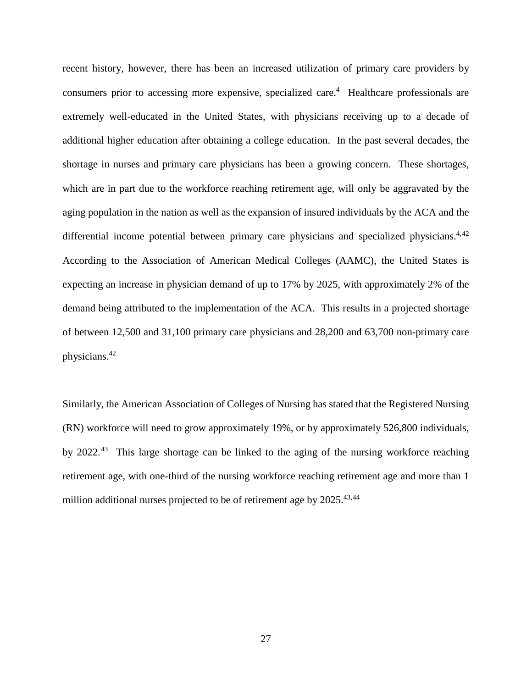<span id="page-36-0"></span>recent history, however, there has been an increased utilization of primary care providers by consumers prior to accessing more expensive, specialized care.<sup>[4](#page-12-1)</sup> Healthcare professionals are extremely well-educated in the United States, with physicians receiving up to a decade of additional higher education after obtaining a college education. In the past several decades, the shortage in nurses and primary care physicians has been a growing concern. These shortages, which are in part due to the workforce reaching retirement age, will only be aggravated by the aging population in the nation as well as the expansion of insured individuals by the ACA and the differential income potential between primary care physicians and specialized physicians.<sup>[4,](#page-12-1)[42](#page-32-2)</sup> According to the Association of American Medical Colleges (AAMC), the United States is expecting an increase in physician demand of up to 17% by 2025, with approximately 2% of the demand being attributed to the implementation of the ACA. This results in a projected shortage of between 12,500 and 31,100 primary care physicians and 28,200 and 63,700 non-primary care physicians[.42](#page-36-0)

<span id="page-36-5"></span><span id="page-36-4"></span><span id="page-36-3"></span><span id="page-36-2"></span><span id="page-36-1"></span>Similarly, the American Association of Colleges of Nursing has stated that the Registered Nursing (RN) workforce will need to grow approximately 19%, or by approximately 526,800 individuals, by 2022.[43](#page-32-3) This large shortage can be linked to the aging of the nursing workforce reaching retirement age, with one-third of the nursing workforce reaching retirement age and more than 1 million additional nurses projected to be of retirement age by  $2025$ .<sup>[43,](#page-36-1)[44](#page-32-4)</sup>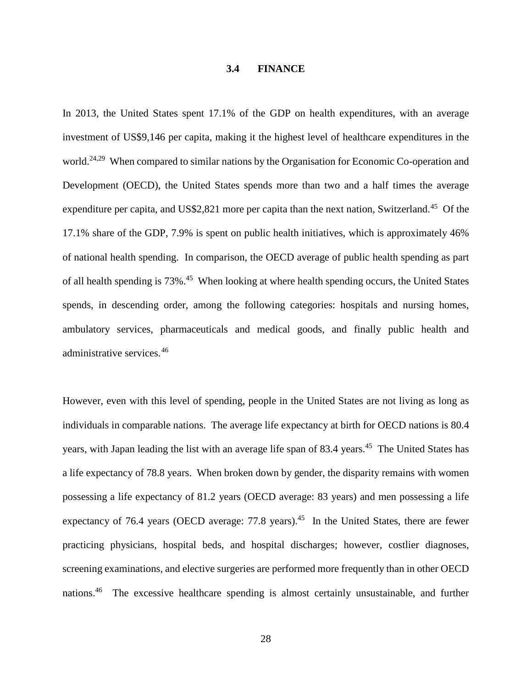#### <span id="page-37-1"></span>**3.4 FINANCE**

<span id="page-37-0"></span>In 2013, the United States spent 17.1% of the GDP on health expenditures, with an average investment of US\$9,146 per capita, making it the highest level of healthcare expenditures in the world.<sup>24,29</sup> When compared to similar nations by the Organisation for Economic Co-operation and Development (OECD), the United States spends more than two and a half times the average expenditure per capita, and US\$2,821 more per capita than the next nation, Switzerland.<sup>45</sup> Of the 17.1% share of the GDP, 7.9% is spent on public health initiatives, which is approximately 46% of national health spending. In comparison, the OECD average of public health spending as part of all health spending is 73%.<sup>45</sup> When looking at where health spending occurs, the United States spends, in descending order, among the following categories: hospitals and nursing homes, ambulatory services, pharmaceuticals and medical goods, and finally public health and administrative services.[46](#page-33-2) 

<span id="page-37-3"></span><span id="page-37-2"></span>However, even with this level of spending, people in the United States are not living as long as individuals in comparable nations. The average life expectancy at birth for OECD nations is 80.4 years, with Japan leading the list with an average life span of 83.4 years.<sup>45</sup> The United States has a life expectancy of 78.8 years. When broken down by gender, the disparity remains with women possessing a life expectancy of 81.2 years (OECD average: 83 years) and men possessing a life expectancy of 76.4 years (OECD average: 77.8 years).<sup>45</sup> In the United States, there are fewer practicing physicians, hospital beds, and hospital discharges; however, costlier diagnoses, screening examinations, and elective surgeries are performed more frequently than in other OECD nations. [46](#page-37-2) The excessive healthcare spending is almost certainly unsustainable, and further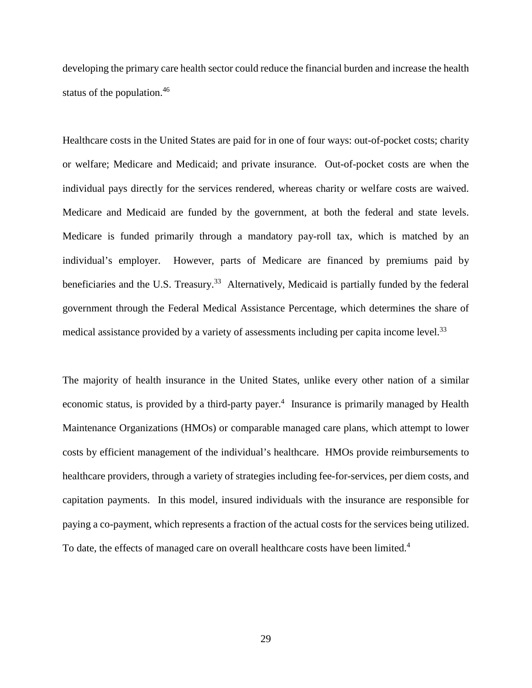developing the primary care health sector could reduce the financial burden and increase the health status of the population. [46](#page-37-2)

Healthcare costs in the United States are paid for in one of four ways: out-of-pocket costs; charity or welfare; Medicare and Medicaid; and private insurance. Out-of-pocket costs are when the individual pays directly for the services rendered, whereas charity or welfare costs are waived. Medicare and Medicaid are funded by the government, at both the federal and state levels. Medicare is funded primarily through a mandatory pay-roll tax, which is matched by an individual's employer. However, parts of Medicare are financed by premiums paid by beneficiaries and the U.S. Treasury.<sup>33</sup> Alternatively, Medicaid is partially funded by the federal government through the Federal Medical Assistance Percentage, which determines the share of medical assistance provided by a variety of assessments including per capita income level.<sup>33</sup>

The majority of health insurance in the United States, unlike every other nation of a similar economic status, is provided by a third-party payer.<sup>4</sup> Insurance is primarily managed by Health Maintenance Organizations (HMOs) or comparable managed care plans, which attempt to lower costs by efficient management of the individual's healthcare. HMOs provide reimbursements to healthcare providers, through a variety of strategies including fee-for-services, per diem costs, and capitation payments. In this model, insured individuals with the insurance are responsible for paying a co-payment, which represents a fraction of the actual costs for the services being utilized. To date, the effects of managed care on overall healthcare costs have been limited.<sup>[4](#page-12-1)</sup>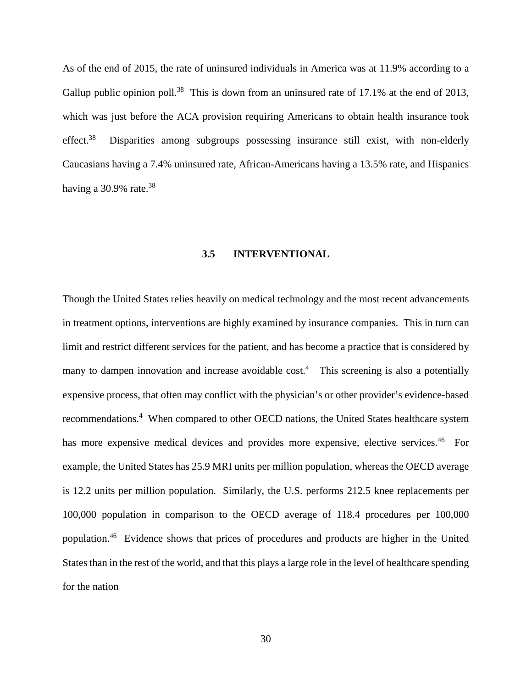As of the end of 2015, the rate of uninsured individuals in America was at 11.9% according to a Gallup public opinion poll.<sup>38</sup> This is down from an uninsured rate of 17.1% at the end of 2013, which was just before the ACA provision requiring Americans to obtain health insurance took effect.<sup>38</sup> Disparities among subgroups possessing insurance still exist, with non-elderly Caucasians having a 7.4% uninsured rate, African-Americans having a 13.5% rate, and Hispanics having a  $30.9\%$  rate.<sup>[38](#page-35-3)</sup>

#### **3.5 INTERVENTIONAL**

<span id="page-39-0"></span>Though the United States relies heavily on medical technology and the most recent advancements in treatment options, interventions are highly examined by insurance companies. This in turn can limit and restrict different services for the patient, and has become a practice that is considered by many to dampen innovation and increase avoidable cost.<sup>[4](#page-12-1)</sup> This screening is also a potentially expensive process, that often may conflict with the physician's or other provider's evidence-based recommendations.<sup>4</sup> When compared to other OECD nations, the United States healthcare system has more expensive medical devices and provides more expensive, elective services.<sup>46</sup> For example, the United States has 25.9 MRI units per million population, whereas the OECD average is 12.2 units per million population. Similarly, the U.S. performs 212.5 knee replacements per 100,000 population in comparison to the OECD average of 118.4 procedures per 100,000 population[.46](#page-37-2) Evidence shows that prices of procedures and products are higher in the United States than in the rest of the world, and that this plays a large role in the level of healthcare spending for the nation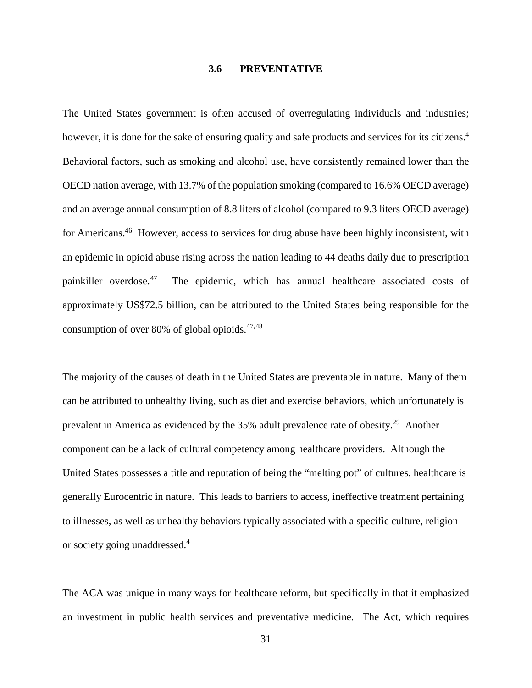#### **3.6 PREVENTATIVE**

<span id="page-40-0"></span>The United States government is often accused of overregulating individuals and industries; however, it is done for the sake of ensuring quality and safe products and services for its citizens.<sup>4</sup> Behavioral factors, such as smoking and alcohol use, have consistently remained lower than the OECD nation average, with 13.7% of the population smoking (compared to 16.6% OECD average) and an average annual consumption of 8.8 liters of alcohol (compared to 9.3 liters OECD average) for Americans.<sup>46</sup> However, access to services for drug abuse have been highly inconsistent, with an epidemic in opioid abuse rising across the nation leading to 44 deaths daily due to prescription painkiller overdose.<sup>[47](#page-34-2)</sup> The epidemic, which has annual healthcare associated costs of approximately US\$72.5 billion, can be attributed to the United States being responsible for the consumption of over 80% of global opioids. [47,](#page-40-1)[48](#page-34-3)

<span id="page-40-1"></span>The majority of the causes of death in the United States are preventable in nature. Many of them can be attributed to unhealthy living, such as diet and exercise behaviors, which unfortunately is prevalent in America as evidenced by the 35% adult prevalence rate of obesity.[29](#page-31-2) Another component can be a lack of cultural competency among healthcare providers. Although the United States possesses a title and reputation of being the "melting pot" of cultures, healthcare is generally Eurocentric in nature. This leads to barriers to access, ineffective treatment pertaining to illnesses, as well as unhealthy behaviors typically associated with a specific culture, religion or society going unaddressed. [4](#page-12-1)

The ACA was unique in many ways for healthcare reform, but specifically in that it emphasized an investment in public health services and preventative medicine. The Act, which requires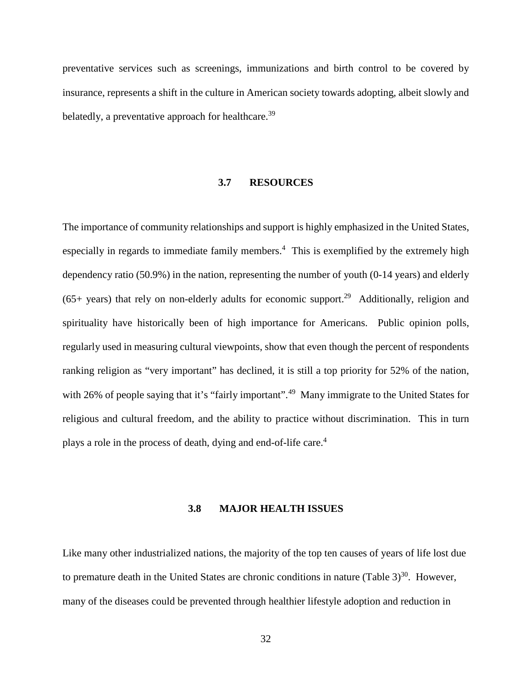<span id="page-41-0"></span>preventative services such as screenings, immunizations and birth control to be covered by insurance, represents a shift in the culture in American society towards adopting, albeit slowly and belatedly, a preventative approach for healthcare.<sup>[39](#page-35-1)</sup>

#### **3.7 RESOURCES**

The importance of community relationships and support is highly emphasized in the United States, especially in regards to immediate family members.<sup>4</sup> This is exemplified by the extremely high dependency ratio (50.9%) in the nation, representing the number of youth (0-14 years) and elderly (65+ years) that rely on non-elderly adults for economic support.<sup>29</sup> Additionally, religion and spirituality have historically been of high importance for Americans. Public opinion polls, regularly used in measuring cultural viewpoints, show that even though the percent of respondents ranking religion as "very important" has declined, it is still a top priority for 52% of the nation, with 26% of people saying that it's "fairly important".<sup>[49](#page-34-4)</sup> Many immigrate to the United States for religious and cultural freedom, and the ability to practice without discrimination. This in turn plays a role in the process of death, dying and end-of-life care.<sup>4</sup>

#### **3.8 MAJOR HEALTH ISSUES**

<span id="page-41-1"></span>Like many other industrialized nations, the majority of the top ten causes of years of life lost due to premature death in the United States are chronic conditions in nature  $(Table 3)^{30}$  $(Table 3)^{30}$ . However, many of the diseases could be prevented through healthier lifestyle adoption and reduction in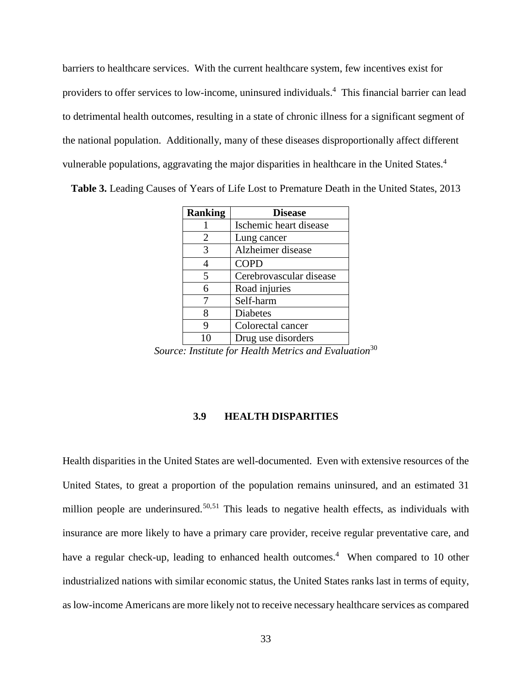barriers to healthcare services. With the current healthcare system, few incentives exist for providers to offer services to low-income, uninsured individuals.<sup>4</sup> This financial barrier can lead to detrimental health outcomes, resulting in a state of chronic illness for a significant segment of the national population. Additionally, many of these diseases disproportionally affect different vulnerable populations, aggravating the major disparities in healthcare in the United States.<sup>4</sup>

<span id="page-42-1"></span>

| Table 3. Leading Causes of Years of Life Lost to Premature Death in the United States, 2013 |  |  |  |  |  |  |
|---------------------------------------------------------------------------------------------|--|--|--|--|--|--|
|---------------------------------------------------------------------------------------------|--|--|--|--|--|--|

| <b>Ranking</b> | <b>Disease</b>          |
|----------------|-------------------------|
|                | Ischemic heart disease  |
| 2              | Lung cancer             |
| 3              | Alzheimer disease       |
|                | <b>COPD</b>             |
| 5              | Cerebrovascular disease |
| 6              | Road injuries           |
|                | Self-harm               |
| 8              | Diabetes                |
| 9              | Colorectal cancer       |
| 10             | Drug use disorders<br>. |

*Source: Institute for Health Metrics and Evaluation*[30](#page-31-7)

#### <span id="page-42-2"></span>**3.9 HEALTH DISPARITIES**

<span id="page-42-0"></span>Health disparities in the United States are well-documented. Even with extensive resources of the United States, to great a proportion of the population remains uninsured, and an estimated 31 million people are underinsured.<sup>[50,](#page-34-5)[51](#page-34-6)</sup> This leads to negative health effects, as individuals with insurance are more likely to have a primary care provider, receive regular preventative care, and have a regular check-up, leading to enhanced health outcomes.<sup>[4](#page-12-1)</sup> When compared to 10 other industrialized nations with similar economic status, the United States ranks last in terms of equity, as low-income Americans are more likely not to receive necessary healthcare services as compared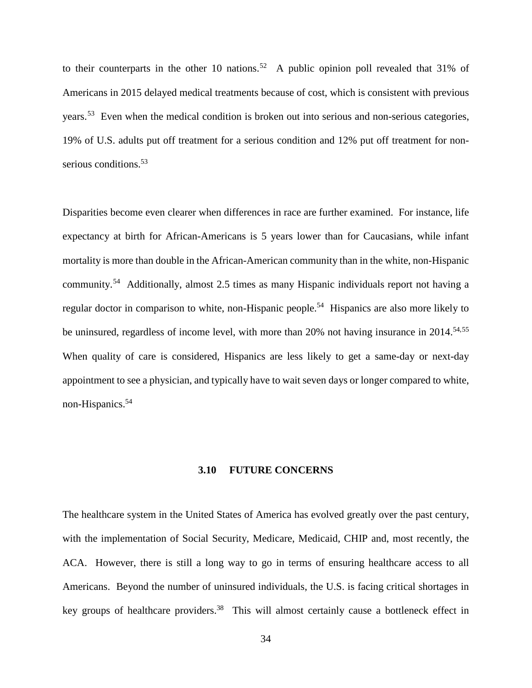<span id="page-43-1"></span>to their counterparts in the other 10 nations.<sup>[52](#page-35-4)</sup> A public opinion poll revealed that 31% of Americans in 2015 delayed medical treatments because of cost, which is consistent with previous years.<sup>53</sup> Even when the medical condition is broken out into serious and non-serious categories, 19% of U.S. adults put off treatment for a serious condition and 12% put off treatment for nonserious conditions.<sup>53</sup>

<span id="page-43-2"></span>Disparities become even clearer when differences in race are further examined. For instance, life expectancy at birth for African-Americans is 5 years lower than for Caucasians, while infant mortality is more than double in the African-American community than in the white, non-Hispanic community.[54](#page-35-6) Additionally, almost 2.5 times as many Hispanic individuals report not having a regular doctor in comparison to white, non-Hispanic people.<sup>54</sup> Hispanics are also more likely to be uninsured, regardless of income level, with more than  $20\%$  not having insurance in  $2014$ <sup>54,[55](#page-35-7)</sup> When quality of care is considered, Hispanics are less likely to get a same-day or next-day appointment to see a physician, and typically have to wait seven days or longer compared to white, non-Hispanics.<sup>54</sup>

#### **3.10 FUTURE CONCERNS**

<span id="page-43-0"></span>The healthcare system in the United States of America has evolved greatly over the past century, with the implementation of Social Security, Medicare, Medicaid, CHIP and, most recently, the ACA. However, there is still a long way to go in terms of ensuring healthcare access to all Americans. Beyond the number of uninsured individuals, the U.S. is facing critical shortages in key groups of healthcare providers.<sup>38</sup> This will almost certainly cause a bottleneck effect in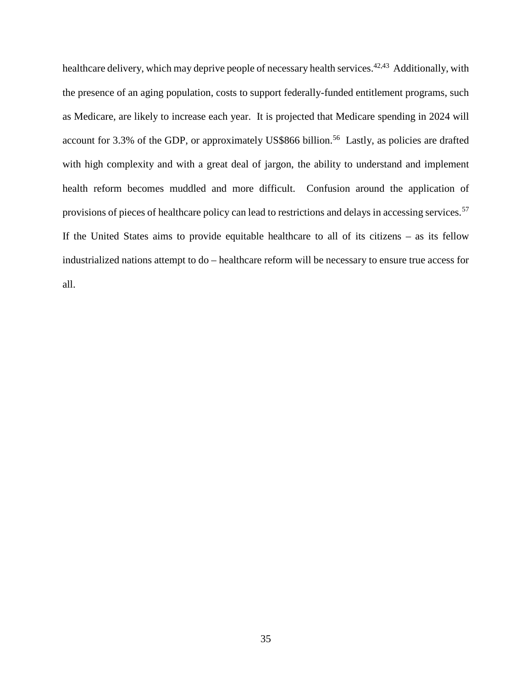healthcare delivery, which may deprive people of necessary health services.<sup>[42](#page-36-0),43</sup> Additionally, with the presence of an aging population, costs to support federally-funded entitlement programs, such as Medicare, are likely to increase each year. It is projected that Medicare spending in 2024 will account for 3.3% of the GDP, or approximately US\$866 billion.<sup>[56](#page-36-2)</sup> Lastly, as policies are drafted with high complexity and with a great deal of jargon, the ability to understand and implement health reform becomes muddled and more difficult. Confusion around the application of provisions of pieces of healthcare policy can lead to restrictions and delays in accessing services.<sup>[57](#page-36-3)</sup> If the United States aims to provide equitable healthcare to all of its citizens – as its fellow industrialized nations attempt to do – healthcare reform will be necessary to ensure true access for all.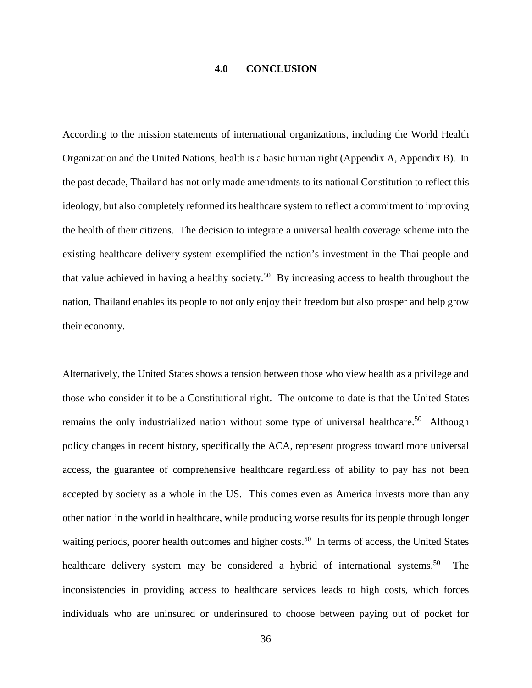#### **4.0 CONCLUSION**

<span id="page-45-0"></span>According to the mission statements of international organizations, including the World Health Organization and the United Nations, health is a basic human right (Appendix A, Appendix B). In the past decade, Thailand has not only made amendments to its national Constitution to reflect this ideology, but also completely reformed its healthcare system to reflect a commitment to improving the health of their citizens. The decision to integrate a universal health coverage scheme into the existing healthcare delivery system exemplified the nation's investment in the Thai people and that value achieved in having a healthy society.<sup>50</sup> By increasing access to health throughout the nation, Thailand enables its people to not only enjoy their freedom but also prosper and help grow their economy.

Alternatively, the United States shows a tension between those who view health as a privilege and those who consider it to be a Constitutional right. The outcome to date is that the United States remains the only industrialized nation without some type of universal healthcare.<sup>50</sup> Although policy changes in recent history, specifically the ACA, represent progress toward more universal access, the guarantee of comprehensive healthcare regardless of ability to pay has not been accepted by society as a whole in the US. This comes even as America invests more than any other nation in the world in healthcare, while producing worse results for its people through longer waiting periods, poorer health outcomes and higher costs.<sup>50</sup> In terms of access, the United States healthcare delivery system may be considered a hybrid of international systems.<sup>50</sup> The inconsistencies in providing access to healthcare services leads to high costs, which forces individuals who are uninsured or underinsured to choose between paying out of pocket for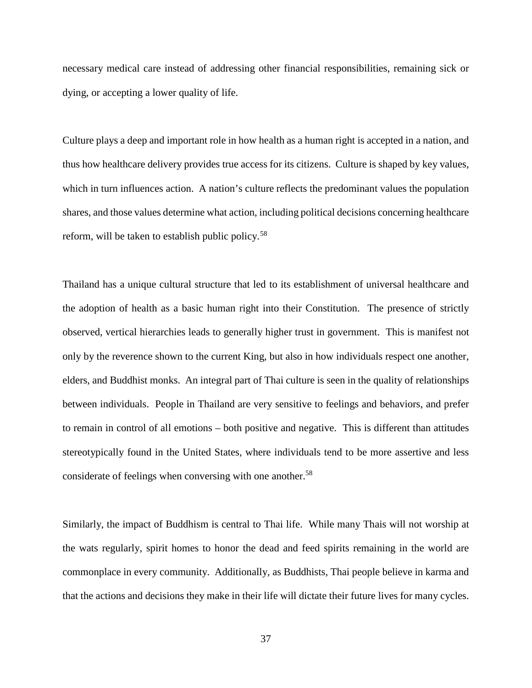necessary medical care instead of addressing other financial responsibilities, remaining sick or dying, or accepting a lower quality of life.

Culture plays a deep and important role in how health as a human right is accepted in a nation, and thus how healthcare delivery provides true access for its citizens. Culture is shaped by key values, which in turn influences action. A nation's culture reflects the predominant values the population shares, and those values determine what action, including political decisions concerning healthcare reform, will be taken to establish public policy.<sup>58</sup>

Thailand has a unique cultural structure that led to its establishment of universal healthcare and the adoption of health as a basic human right into their Constitution. The presence of strictly observed, vertical hierarchies leads to generally higher trust in government. This is manifest not only by the reverence shown to the current King, but also in how individuals respect one another, elders, and Buddhist monks. An integral part of Thai culture is seen in the quality of relationships between individuals. People in Thailand are very sensitive to feelings and behaviors, and prefer to remain in control of all emotions – both positive and negative. This is different than attitudes stereotypically found in the United States, where individuals tend to be more assertive and less considerate of feelings when conversing with one another.<sup>58</sup>

Similarly, the impact of Buddhism is central to Thai life. While many Thais will not worship at the wats regularly, spirit homes to honor the dead and feed spirits remaining in the world are commonplace in every community. Additionally, as Buddhists, Thai people believe in karma and that the actions and decisions they make in their life will dictate their future lives for many cycles.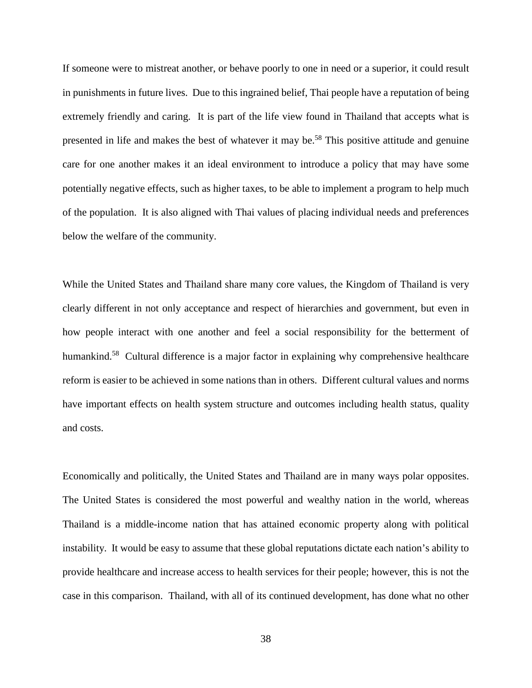If someone were to mistreat another, or behave poorly to one in need or a superior, it could result in punishments in future lives. Due to this ingrained belief, Thai people have a reputation of being extremely friendly and caring. It is part of the life view found in Thailand that accepts what is presented in life and makes the best of whatever it may be.<sup>58</sup> This positive attitude and genuine care for one another makes it an ideal environment to introduce a policy that may have some potentially negative effects, such as higher taxes, to be able to implement a program to help much of the population. It is also aligned with Thai values of placing individual needs and preferences below the welfare of the community.

While the United States and Thailand share many core values, the Kingdom of Thailand is very clearly different in not only acceptance and respect of hierarchies and government, but even in how people interact with one another and feel a social responsibility for the betterment of humankind.<sup>58</sup> Cultural difference is a major factor in explaining why comprehensive healthcare reform is easier to be achieved in some nations than in others. Different cultural values and norms have important effects on health system structure and outcomes including health status, quality and costs.

Economically and politically, the United States and Thailand are in many ways polar opposites. The United States is considered the most powerful and wealthy nation in the world, whereas Thailand is a middle-income nation that has attained economic property along with political instability. It would be easy to assume that these global reputations dictate each nation's ability to provide healthcare and increase access to health services for their people; however, this is not the case in this comparison. Thailand, with all of its continued development, has done what no other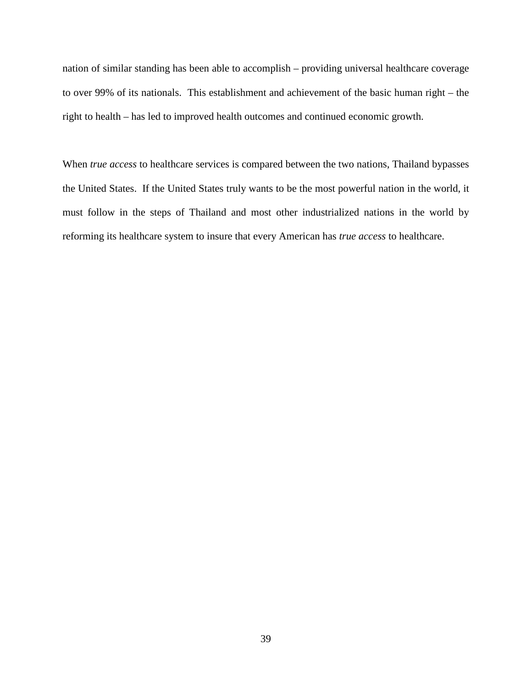nation of similar standing has been able to accomplish – providing universal healthcare coverage to over 99% of its nationals. This establishment and achievement of the basic human right – the right to health – has led to improved health outcomes and continued economic growth.

When *true access* to healthcare services is compared between the two nations, Thailand bypasses the United States. If the United States truly wants to be the most powerful nation in the world, it must follow in the steps of Thailand and most other industrialized nations in the world by reforming its healthcare system to insure that every American has *true access* to healthcare.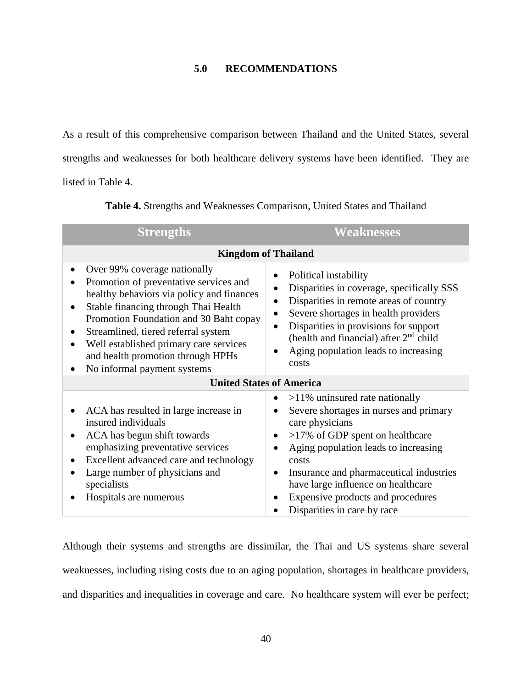# **5.0 RECOMMENDATIONS**

<span id="page-49-0"></span>As a result of this comprehensive comparison between Thailand and the United States, several strengths and weaknesses for both healthcare delivery systems have been identified. They are listed in [Table 4.](#page-49-1)

<span id="page-49-1"></span>

| <b>Strengths</b>                                                                                                                                                                                                                                                                                                                                                        | <b>Weaknesses</b>                                                                                                                                                                                                                                                                                                                                            |  |  |  |  |
|-------------------------------------------------------------------------------------------------------------------------------------------------------------------------------------------------------------------------------------------------------------------------------------------------------------------------------------------------------------------------|--------------------------------------------------------------------------------------------------------------------------------------------------------------------------------------------------------------------------------------------------------------------------------------------------------------------------------------------------------------|--|--|--|--|
| <b>Kingdom of Thailand</b>                                                                                                                                                                                                                                                                                                                                              |                                                                                                                                                                                                                                                                                                                                                              |  |  |  |  |
| Over 99% coverage nationally<br>$\bullet$<br>Promotion of preventative services and<br>healthy behaviors via policy and finances<br>Stable financing through Thai Health<br>Promotion Foundation and 30 Baht copay<br>Streamlined, tiered referral system<br>Well established primary care services<br>and health promotion through HPHs<br>No informal payment systems | Political instability<br>Disparities in coverage, specifically SSS<br>Disparities in remote areas of country<br>$\bullet$<br>Severe shortages in health providers<br>Disparities in provisions for support<br>(health and financial) after 2 <sup>nd</sup> child<br>Aging population leads to increasing<br>costs                                            |  |  |  |  |
|                                                                                                                                                                                                                                                                                                                                                                         | <b>United States of America</b>                                                                                                                                                                                                                                                                                                                              |  |  |  |  |
| ACA has resulted in large increase in<br>insured individuals<br>ACA has begun shift towards<br>emphasizing preventative services<br>Excellent advanced care and technology<br>Large number of physicians and<br>specialists<br>Hospitals are numerous                                                                                                                   | $>11\%$ uninsured rate nationally<br>Severe shortages in nurses and primary<br>care physicians<br>$>17\%$ of GDP spent on healthcare<br>٠<br>Aging population leads to increasing<br>costs<br>Insurance and pharmaceutical industries<br>$\bullet$<br>have large influence on healthcare<br>Expensive products and procedures<br>Disparities in care by race |  |  |  |  |

**Table 4.** Strengths and Weaknesses Comparison, United States and Thailand

Although their systems and strengths are dissimilar, the Thai and US systems share several weaknesses, including rising costs due to an aging population, shortages in healthcare providers, and disparities and inequalities in coverage and care. No healthcare system will ever be perfect;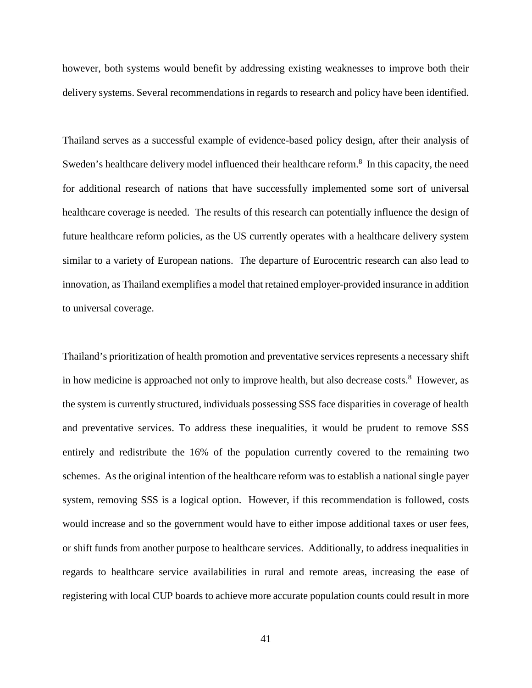however, both systems would benefit by addressing existing weaknesses to improve both their delivery systems. Several recommendations in regards to research and policy have been identified.

Thailand serves as a successful example of evidence-based policy design, after their analysis of Sweden's healthcare delivery model influenced their healthcare reform.<sup>8</sup> In this capacity, the need for additional research of nations that have successfully implemented some sort of universal healthcare coverage is needed. The results of this research can potentially influence the design of future healthcare reform policies, as the US currently operates with a healthcare delivery system similar to a variety of European nations. The departure of Eurocentric research can also lead to innovation, as Thailand exemplifies a model that retained employer-provided insurance in addition to universal coverage.

Thailand's prioritization of health promotion and preventative services represents a necessary shift in how medicine is approached not only to improve health, but also decrease costs.<sup>8</sup> However, as the system is currently structured, individuals possessing SSS face disparities in coverage of health and preventative services. To address these inequalities, it would be prudent to remove SSS entirely and redistribute the 16% of the population currently covered to the remaining two schemes. As the original intention of the healthcare reform was to establish a national single payer system, removing SSS is a logical option. However, if this recommendation is followed, costs would increase and so the government would have to either impose additional taxes or user fees, or shift funds from another purpose to healthcare services. Additionally, to address inequalities in regards to healthcare service availabilities in rural and remote areas, increasing the ease of registering with local CUP boards to achieve more accurate population counts could result in more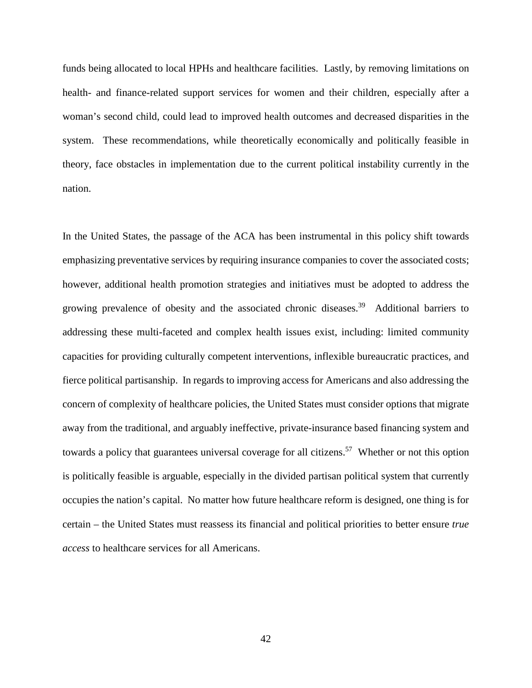funds being allocated to local HPHs and healthcare facilities. Lastly, by removing limitations on health- and finance-related support services for women and their children, especially after a woman's second child, could lead to improved health outcomes and decreased disparities in the system. These recommendations, while theoretically economically and politically feasible in theory, face obstacles in implementation due to the current political instability currently in the nation.

In the United States, the passage of the ACA has been instrumental in this policy shift towards emphasizing preventative services by requiring insurance companies to cover the associated costs; however, additional health promotion strategies and initiatives must be adopted to address the growing prevalence of obesity and the associated chronic diseases. 39 Additional barriers to addressing these multi-faceted and complex health issues exist, including: limited community capacities for providing culturally competent interventions, inflexible bureaucratic practices, and fierce political partisanship. In regards to improving access for Americans and also addressing the concern of complexity of healthcare policies, the United States must consider options that migrate away from the traditional, and arguably ineffective, private-insurance based financing system and towards a policy that guarantees universal coverage for all citizens.<sup>57</sup> Whether or not this option is politically feasible is arguable, especially in the divided partisan political system that currently occupies the nation's capital. No matter how future healthcare reform is designed, one thing is for certain – the United States must reassess its financial and political priorities to better ensure *true access* to healthcare services for all Americans.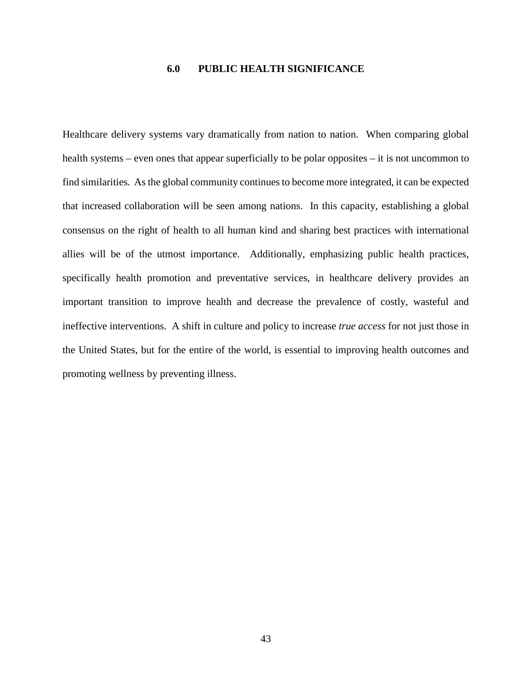# **6.0 PUBLIC HEALTH SIGNIFICANCE**

<span id="page-52-0"></span>Healthcare delivery systems vary dramatically from nation to nation. When comparing global health systems – even ones that appear superficially to be polar opposites – it is not uncommon to find similarities. As the global community continues to become more integrated, it can be expected that increased collaboration will be seen among nations. In this capacity, establishing a global consensus on the right of health to all human kind and sharing best practices with international allies will be of the utmost importance. Additionally, emphasizing public health practices, specifically health promotion and preventative services, in healthcare delivery provides an important transition to improve health and decrease the prevalence of costly, wasteful and ineffective interventions. A shift in culture and policy to increase *true access* for not just those in the United States, but for the entire of the world, is essential to improving health outcomes and promoting wellness by preventing illness.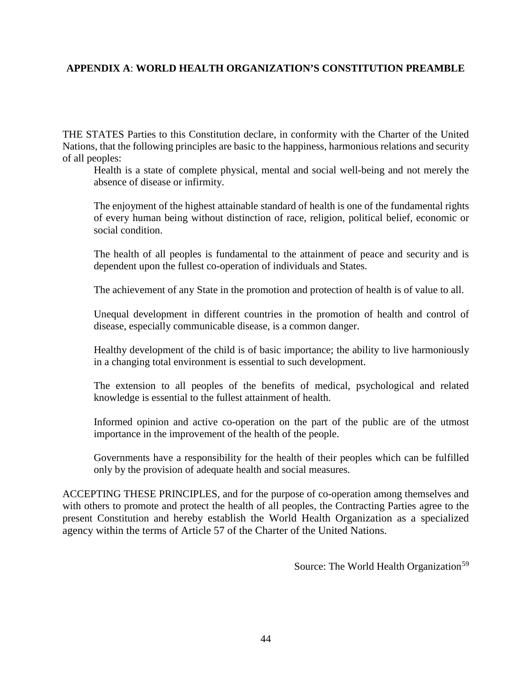# <span id="page-53-0"></span>**APPENDIX A**: **WORLD HEALTH ORGANIZATION'S CONSTITUTION PREAMBLE**

THE STATES Parties to this Constitution declare, in conformity with the Charter of the United Nations, that the following principles are basic to the happiness, harmonious relations and security of all peoples:

Health is a state of complete physical, mental and social well-being and not merely the absence of disease or infirmity.

The enjoyment of the highest attainable standard of health is one of the fundamental rights of every human being without distinction of race, religion, political belief, economic or social condition.

The health of all peoples is fundamental to the attainment of peace and security and is dependent upon the fullest co-operation of individuals and States.

The achievement of any State in the promotion and protection of health is of value to all.

Unequal development in different countries in the promotion of health and control of disease, especially communicable disease, is a common danger.

Healthy development of the child is of basic importance; the ability to live harmoniously in a changing total environment is essential to such development.

The extension to all peoples of the benefits of medical, psychological and related knowledge is essential to the fullest attainment of health.

Informed opinion and active co-operation on the part of the public are of the utmost importance in the improvement of the health of the people.

Governments have a responsibility for the health of their peoples which can be fulfilled only by the provision of adequate health and social measures.

ACCEPTING THESE PRINCIPLES, and for the purpose of co-operation among themselves and with others to promote and protect the health of all peoples, the Contracting Parties agree to the present Constitution and hereby establish the World Health Organization as a specialized agency within the terms of Article 57 of the Charter of the United Nations.

Source: The World Health Organization<sup>[59](#page-36-5)</sup>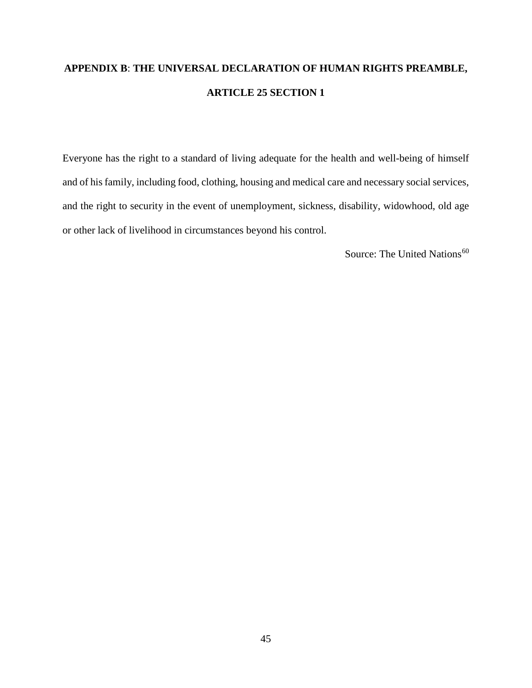# <span id="page-54-0"></span>**APPENDIX B**: **THE UNIVERSAL DECLARATION OF HUMAN RIGHTS PREAMBLE, ARTICLE 25 SECTION 1**

Everyone has the right to a standard of living adequate for the health and well-being of himself and of his family, including food, clothing, housing and medical care and necessary social services, and the right to security in the event of unemployment, sickness, disability, widowhood, old age or other lack of livelihood in circumstances beyond his control.

Source: The United Nations<sup>[60](#page-37-3)</sup>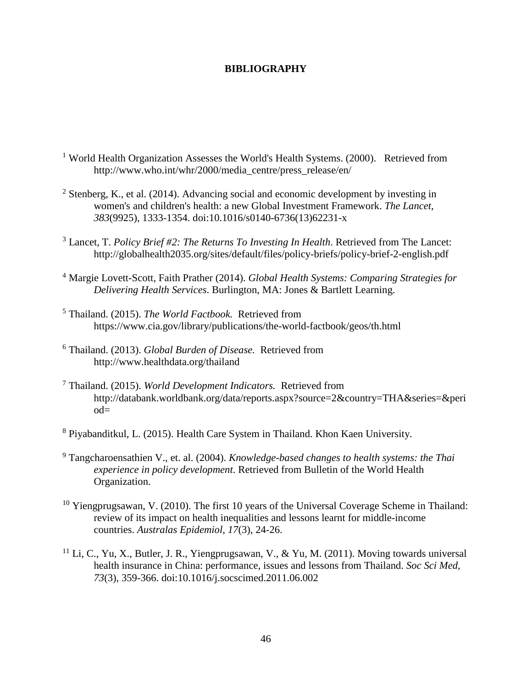#### <span id="page-55-0"></span>**BIBLIOGRAPHY**

- <sup>1</sup> World Health Organization Assesses the World's Health Systems. (2000). Retrieved from http://www.who.int/whr/2000/media\_centre/press\_release/en/
- <sup>2</sup> Stenberg, K., et al. (2014). Advancing social and economic development by investing in women's and children's health: a new Global Investment Framework. *The Lancet, 383*(9925), 1333-1354. doi:10.1016/s0140-6736(13)62231-x
- <sup>3</sup> Lancet, T. *Policy Brief #2: The Returns To Investing In Health*. Retrieved from The Lancet: http://globalhealth2035.org/sites/default/files/policy-briefs/policy-brief-2-english.pdf
- <sup>4</sup> Margie Lovett-Scott, Faith Prather (2014). *Global Health Systems: Comparing Strategies for Delivering Health Services*. Burlington, MA: Jones & Bartlett Learning.
- <sup>5</sup> Thailand. (2015). *The World Factbook.* Retrieved from <https://www.cia.gov/library/publications/the-world-factbook/geos/th.html>
- <sup>6</sup> Thailand. (2013). *Global Burden of Disease.* Retrieved from <http://www.healthdata.org/thailand>
- <sup>7</sup> Thailand. (2015). *World Development Indicators.* Retrieved from [http://databank.worldbank.org/data/reports.aspx?source=2&country=THA&series=&peri](http://databank.worldbank.org/data/reports.aspx?source=2&country=THA&series=&period=) [od=](http://databank.worldbank.org/data/reports.aspx?source=2&country=THA&series=&period=)
- <sup>8</sup> Piyabanditkul, L. (2015). Health Care System in Thailand. Khon Kaen University.
- <sup>9</sup> Tangcharoensathien V., et. al. (2004). *Knowledge-based changes to health systems: the Thai experience in policy development*. Retrieved from Bulletin of the World Health Organization.
- <sup>10</sup> Yiengprugsawan, V. (2010). The first 10 years of the Universal Coverage Scheme in Thailand: review of its impact on health inequalities and lessons learnt for middle-income countries. *Australas Epidemiol, 17*(3), 24-26.
- $11$  Li, C., Yu, X., Butler, J. R., Yiengprugsawan, V., & Yu, M. (2011). Moving towards universal health insurance in China: performance, issues and lessons from Thailand. *Soc Sci Med, 73*(3), 359-366. doi:10.1016/j.socscimed.2011.06.002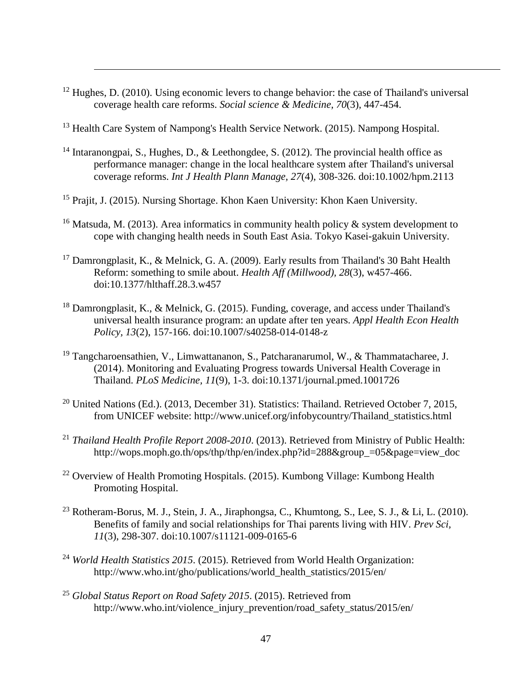- $12$  Hughes, D. (2010). Using economic levers to change behavior: the case of Thailand's universal coverage health care reforms. *Social science & Medicine, 70*(3), 447-454.
- <sup>13</sup> Health Care System of Nampong's Health Service Network. (2015). Nampong Hospital.

 $\overline{a}$ 

- <sup>14</sup> Intaranongpai, S., Hughes, D., & Leethongdee, S. (2012). The provincial health office as performance manager: change in the local healthcare system after Thailand's universal coverage reforms. *Int J Health Plann Manage, 27*(4), 308-326. doi:10.1002/hpm.2113
- <sup>15</sup> Prajit, J. (2015). Nursing Shortage. Khon Kaen University: Khon Kaen University.
- <sup>16</sup> Matsuda, M. (2013). Area informatics in community health policy  $\&$  system development to cope with changing health needs in South East Asia. Tokyo Kasei-gakuin University.
- <sup>17</sup> Damrongplasit, K., & Melnick, G. A. (2009). Early results from Thailand's 30 Baht Health Reform: something to smile about. *Health Aff (Millwood), 28*(3), w457-466. doi:10.1377/hlthaff.28.3.w457
- $18$  Damrongplasit, K., & Melnick, G. (2015). Funding, coverage, and access under Thailand's universal health insurance program: an update after ten years. *Appl Health Econ Health Policy, 13*(2), 157-166. doi:10.1007/s40258-014-0148-z
- <sup>19</sup> Tangcharoensathien, V., Limwattananon, S., Patcharanarumol, W., & Thammatacharee, J. (2014). Monitoring and Evaluating Progress towards Universal Health Coverage in Thailand. *PLoS Medicine, 11*(9), 1-3. doi:10.1371/journal.pmed.1001726
- <sup>20</sup> United Nations (Ed.). (2013, December 31). Statistics: Thailand. Retrieved October 7, 2015, from UNICEF website: http://www.unicef.org/infobycountry/Thailand\_statistics.html
- <sup>21</sup> *Thailand Health Profile Report 2008-2010*. (2013). Retrieved from Ministry of Public Health: [http://wops.moph.go.th/ops/thp/thp/en/index.php?id=288&group\\_=05&page=view\\_doc](http://wops.moph.go.th/ops/thp/thp/en/index.php?id=288&group_=05&page=view_doc)
- <sup>22</sup> Overview of Health Promoting Hospitals. (2015). Kumbong Village: Kumbong Health Promoting Hospital.
- <sup>23</sup> Rotheram-Borus, M. J., Stein, J. A., Jiraphongsa, C., Khumtong, S., Lee, S. J., & Li, L. (2010). Benefits of family and social relationships for Thai parents living with HIV. *Prev Sci, 11*(3), 298-307. doi:10.1007/s11121-009-0165-6
- <sup>24</sup> *World Health Statistics 2015*. (2015). Retrieved from World Health Organization: [http://www.who.int/gho/publications/world\\_health\\_statistics/2015/en/](http://www.who.int/gho/publications/world_health_statistics/2015/en/)
- <sup>25</sup> *Global Status Report on Road Safety 2015*. (2015). Retrieved from [http://www.who.int/violence\\_injury\\_prevention/road\\_safety\\_status/2015/en/](http://www.who.int/violence_injury_prevention/road_safety_status/2015/en/)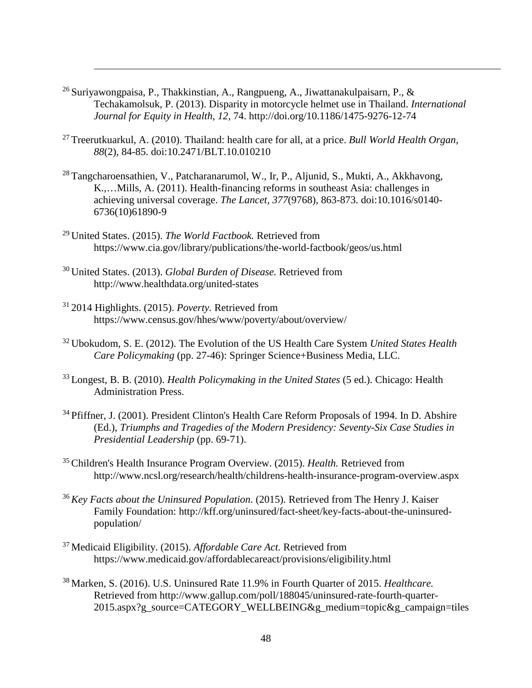- 26 Suriyawongpaisa, P., Thakkinstian, A., Rangpueng, A., Jiwattanakulpaisarn, P., & Techakamolsuk, P. (2013). Disparity in motorcycle helmet use in Thailand. *International Journal for Equity in Health*, *12*, 74. http://doi.org/10.1186/1475-9276-12-74
- 27 Treerutkuarkul, A. (2010). Thailand: health care for all, at a price. *Bull World Health Organ, 88*(2), 84-85. doi:10.2471/BLT.10.010210
- <sup>28</sup> Tangcharoensathien, V., Patcharanarumol, W., Ir, P., Aljunid, S., Mukti, A., Akkhavong, K.,…Mills, A. (2011). Health-financing reforms in southeast Asia: challenges in achieving universal coverage. *The Lancet, 377*(9768), 863-873. doi:10.1016/s0140- 6736(10)61890-9
- 29 United States. (2015). *The World Factbook.* Retrieved from <https://www.cia.gov/library/publications/the-world-factbook/geos/us.html>
- 30 United States. (2013). *Global Burden of Disease.* Retrieved from <http://www.healthdata.org/united-states>
- 31 2014 Highlights. (2015). *Poverty.* Retrieved from <https://www.census.gov/hhes/www/poverty/about/overview/>
- 32 Ubokudom, S. E. (2012). The Evolution of the US Health Care System *United States Health Care Policymaking* (pp. 27-46): Springer Science+Business Media, LLC.
- 33 Longest, B. B. (2010). *Health Policymaking in the United States* (5 ed.). Chicago: Health Administration Press.
- <sup>34</sup> Pfiffner, J. (2001). President Clinton's Health Care Reform Proposals of 1994. In D. Abshire (Ed.), *Triumphs and Tragedies of the Modern Presidency: Seventy-Six Case Studies in Presidential Leadership* (pp. 69-71).
- 35 Children's Health Insurance Program Overview. (2015). *Health.* Retrieved from <http://www.ncsl.org/research/health/childrens-health-insurance-program-overview.aspx>
- <sup>36</sup>*Key Facts about the Uninsured Population*. (2015). Retrieved from The Henry J. Kaiser Family Foundation: [http://kff.org/uninsured/fact-sheet/key-facts-about-the-uninsured](http://kff.org/uninsured/fact-sheet/key-facts-about-the-uninsured-population/)[population/](http://kff.org/uninsured/fact-sheet/key-facts-about-the-uninsured-population/)
- 37 Medicaid Eligibility. (2015). *Affordable Care Act.* Retrieved from <https://www.medicaid.gov/affordablecareact/provisions/eligibility.html>
- 38 Marken, S. (2016). U.S. Uninsured Rate 11.9% in Fourth Quarter of 2015. *Healthcare.*  Retrieved from [http://www.gallup.com/poll/188045/uninsured-rate-fourth-quarter-](http://www.gallup.com/poll/188045/uninsured-rate-fourth-quarter-2015.aspx?g_source=CATEGORY_WELLBEING&g_medium=topic&g_campaign=tiles)[2015.aspx?g\\_source=CATEGORY\\_WELLBEING&g\\_medium=topic&g\\_campaign=tiles](http://www.gallup.com/poll/188045/uninsured-rate-fourth-quarter-2015.aspx?g_source=CATEGORY_WELLBEING&g_medium=topic&g_campaign=tiles)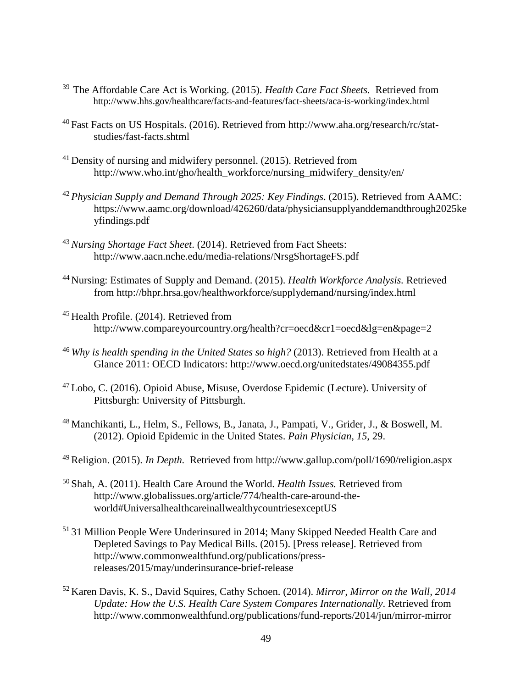- 39 The [Affordable Care Act is Working. \(2015\).](http://www.hhs.gov/healthcare/facts-and-features/fact-sheets/aca-is-working/index.html) *Health Care Fact Sheets.* Retrieved from http://www.hhs.gov/healthcare/facts-and-features/fact-sheets/aca-is-working/index.html
- [40 Fast Facts on US Hospitals. \(](http://www.aha.org/research/rc/stat-studies/fast-facts.shtml)2016). Retrieved from [http://www.aha.org/research/rc/stat](http://www.aha.org/research/rc/stat-studies/fast-facts.shtml)studies/fast-facts.shtml
- <sup>41</sup> Density of nursing and midwifery personnel. (2015). Retrieved from http://www.who.int/gho/health\_workforce/nursing\_midwifery\_density/en/
- <sup>42</sup>*[Physician Supply and Demand Through 2025: Key Findings](https://www.aamc.org/download/426260/data/physiciansupplyanddemandthrough2025keyfindings.pdf)*. (2015). Retrieved from AAMC: [https://www.a](https://www.aamc.org/download/426260/data/physiciansupplyanddemandthrough2025keyfindings.pdf)amc.org/download/426260/data/physiciansupplyanddemandthrough2025ke yfindings.pdf
- <sup>43</sup>*Nursing Shortage Fact Sheet*[. \(2014\). Retrieved from Fact Sheets:](http://www.aacn.nche.edu/media-relations/NrsgShortageFS.pdf)  http://www.aacn.nche.edu/media-relations/NrsgShortageFS.pdf
- 44 Nursing: [Estimates of Supply and Demand. \(2015\).](http://bhpr.hrsa.gov/healthworkforce/supplydemand/nursing/index.html) *Health Workforce Analysis.* Retrieved from http://bhpr.hrsa.gov/healthworkforce/supplydemand/nursing/index.html
- <sup>45</sup> Health Profile. (2014). Retrieved from http://www.compareyourcountry.org/health?cr=oecd&cr1=oecd&lg=en&page=2
- <sup>46</sup>*Why is health spending in the United States so high?* [\(2013\). Retrieved from Health at](http://www.oecd.org/unitedstates/49084355.pdf) a Glance 2011: OECD Indicators: http://www.oecd.org/unitedstates/49084355.pdf
- $47$  Lobo, C. (2016). Opioid Abuse, Misuse, Overdose Epidemic (Lecture). University of Pittsburgh: University of Pittsburgh.
- 48 Manchikanti, L., Helm, S., Fellows, B., Janata, J., Pampati, V., Grider, J., & Boswell, M. (2012). Opioid Epidemic in the United States. *Pain Physician, 15*, 29.
- 49 Religion. (2015). *In Depth.* Retrieved from<http://www.gallup.com/poll/1690/religion.aspx>
- [50 Shah, A. \(2011\). Health Care Around the World.](http://www.globalissues.org/article/774/health-care-around-the-world%23UniversalhealthcareinallwealthycountriesexceptUS) *Health Issues.* Retrieved from [http://www.globalissues.org/article/774/health-care-around](http://www.globalissues.org/article/774/health-care-around-the-world%23UniversalhealthcareinallwealthycountriesexceptUS)-theworld#UniversalhealthcareinallwealthycountriesexceptUS
- 51 31 Million People Were Underinsured in 2014; Many Skipped Needed Health Care and [Depleted Savings to Pay Medical Bills. \(2015\). \[Press release\]. Retrieved from](http://www.commonwealthfund.org/publications/press-releases/2015/may/underinsurance-brief-release)  [http://www.commonwealthfund.org/publications](http://www.commonwealthfund.org/publications/press-releases/2015/may/underinsurance-brief-release)/pressreleases/2015/may/underinsurance-brief-release
- 52 Karen Davis, K. S., David Squires, Cathy Schoen. (2014). *Mirror, Mirror on the Wall, 2014 Update: How the U.S. Health Care System Compares Internationally*. Retrieved from <http://www.commonwealthfund.org/publications/fund-reports/2014/jun/mirror-mirror>